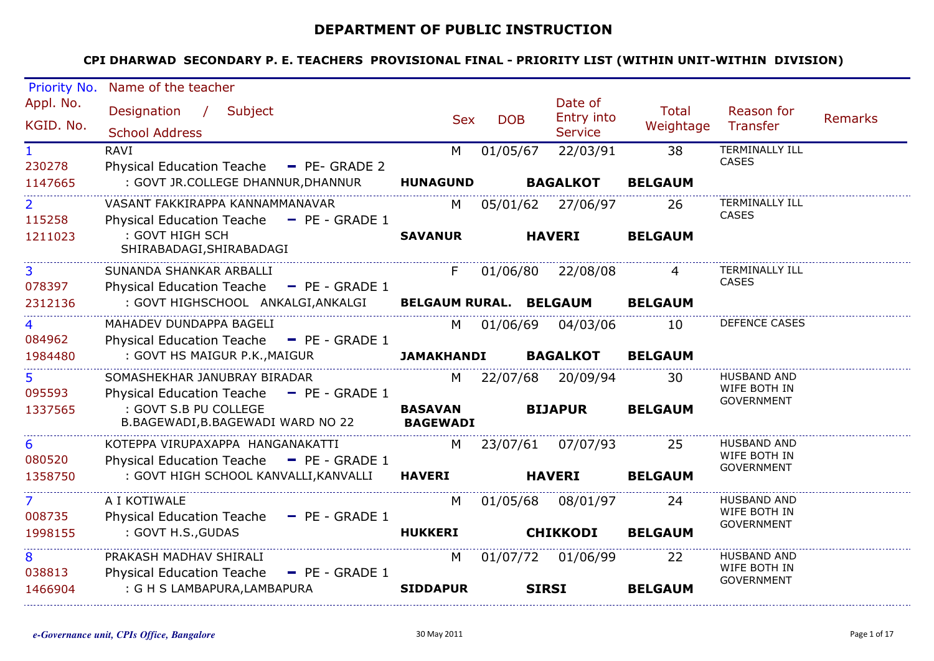## **DEPARTMENT OF PUBLIC INSTRUCTION**

|                        | Priority No. Name of the teacher                                 |                   |            |                              |                |                                    |                |
|------------------------|------------------------------------------------------------------|-------------------|------------|------------------------------|----------------|------------------------------------|----------------|
| Appl. No.              | Designation / Subject                                            |                   |            | Date of                      | <b>Total</b>   | Reason for                         |                |
| KGID. No.              | <b>School Address</b>                                            | <b>Sex</b>        | <b>DOB</b> | Entry into<br><b>Service</b> | Weightage      | Transfer                           | <b>Remarks</b> |
|                        | <b>RAVI</b>                                                      | M                 | 01/05/67   | 22/03/91                     | 38             | <b>TERMINALLY ILL</b>              |                |
| $\mathbf{1}$<br>230278 | Physical Education Teache - PE- GRADE 2                          |                   |            |                              |                | CASES                              |                |
| 1147665                | : GOVT JR.COLLEGE DHANNUR, DHANNUR HUNAGUND                      |                   |            | <b>BAGALKOT</b>              | <b>BELGAUM</b> |                                    |                |
| $\mathbf{2}$           | VASANT FAKKIRAPPA KANNAMMANAVAR                                  | M l               |            | 05/01/62 27/06/97            | 26             | <b>TERMINALLY ILL</b>              |                |
| 115258                 | Physical Education Teache - PE - GRADE 1                         |                   |            |                              |                | <b>CASES</b>                       |                |
| 1211023                | : GOVT HIGH SCH                                                  | <b>SAVANUR</b>    |            | <b>HAVERI</b>                | <b>BELGAUM</b> |                                    |                |
|                        | SHIRABADAGI, SHIRABADAGI                                         |                   |            |                              |                |                                    |                |
| 3                      | SUNANDA SHANKAR ARBALLI                                          |                   |            | F 01/06/80 22/08/08          |                | <b>TERMINALLY ILL</b>              |                |
| 078397                 | Physical Education Teache - PE - GRADE 1                         |                   |            |                              |                | <b>CASES</b>                       |                |
| 2312136                | : GOVT HIGHSCHOOL ANKALGI,ANKALGI BELGAUM RURAL. BELGAUM BELGAUM |                   |            |                              |                |                                    |                |
| 4                      | MAHADEV DUNDAPPA BAGELI                                          |                   |            | M 01/06/69 04/03/06          | 10             | DEFENCE CASES                      |                |
| 084962                 | Physical Education Teache - PE - GRADE 1                         |                   |            |                              |                |                                    |                |
| 1984480                | : GOVT HS MAIGUR P.K., MAIGUR                                    | <b>JAMAKHANDI</b> |            | <b>BAGALKOT</b>              | <b>BELGAUM</b> |                                    |                |
| 5 <sup>1</sup>         | SOMASHEKHAR JANUBRAY BIRADAR                                     |                   |            | M 22/07/68 20/09/94          | 30             | <b>HUSBAND AND</b>                 |                |
| 095593                 | Physical Education Teache - PE - GRADE 1                         |                   |            |                              |                | WIFE BOTH IN<br><b>GOVERNMENT</b>  |                |
| 1337565                | : GOVT S.B PU COLLEGE                                            | <b>BASAVAN</b>    |            | <b>BIJAPUR</b>               | <b>BELGAUM</b> |                                    |                |
|                        | B.BAGEWADI,B.BAGEWADI WARD NO 22                                 | <b>BAGEWADI</b>   |            |                              |                |                                    |                |
| 6                      | KOTEPPA VIRUPAXAPPA HANGANAKATTI                                 |                   |            | M 23/07/61 07/07/93          | 25             | <b>HUSBAND AND</b><br>WIFE BOTH IN |                |
| 080520                 | Physical Education Teache - PE - GRADE 1                         |                   |            |                              |                | GOVERNMENT                         |                |
| 1358750                | : GOVT HIGH SCHOOL KANVALLI, KANVALLI HAVERI                     |                   |            | <b>HAVERI</b>                | <b>BELGAUM</b> |                                    |                |
| 7 <sup>7</sup>         | A I KOTIWALE                                                     | M                 |            | 01/05/68 08/01/97            | 24             | <b>HUSBAND AND</b>                 |                |
| 008735                 | Physical Education Teache - PE - GRADE 1                         |                   |            |                              |                | WIFE BOTH IN<br>GOVERNMENT         |                |
| 1998155                | : GOVT H.S., GUDAS                                               | <b>HUKKERI</b>    |            | <b>CHIKKODI</b>              | <b>BELGAUM</b> |                                    |                |
| 8                      | PRAKASH MADHAV SHIRALI                                           | M                 |            | 01/07/72 01/06/99            | 22             | <b>HUSBAND AND</b>                 |                |
| 038813                 | Physical Education Teache - PE - GRADE 1                         |                   |            |                              |                | WIFE BOTH IN<br><b>GOVERNMENT</b>  |                |
| 1466904                | : G H S LAMBAPURA, LAMBAPURA                                     | <b>SIDDAPUR</b>   |            | <b>SIRSI</b>                 | <b>BELGAUM</b> |                                    |                |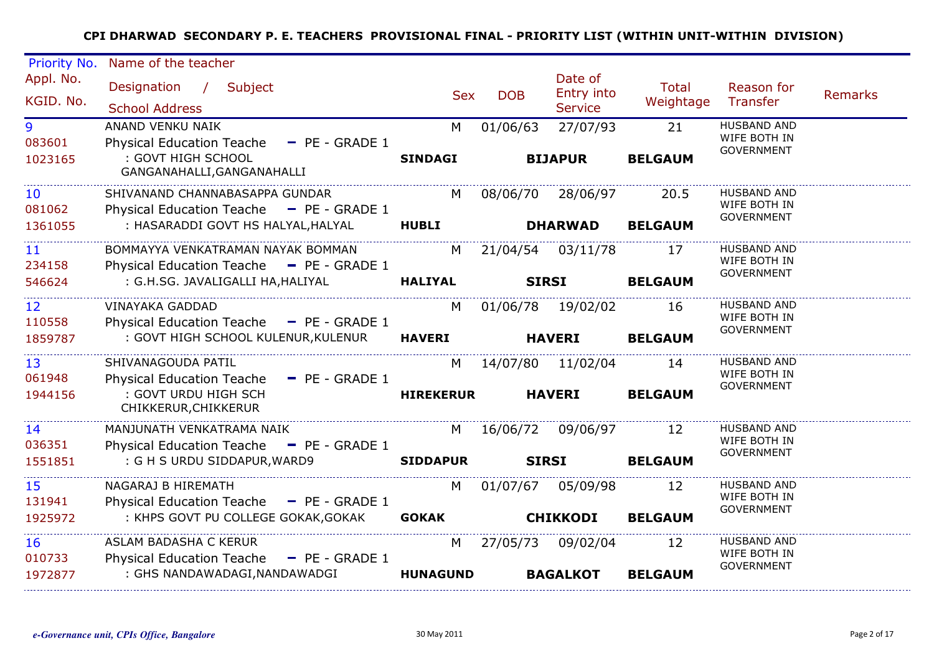| Priority No.              | Name of the teacher                                                             |                  |            |                                         |                           |                                                         |         |
|---------------------------|---------------------------------------------------------------------------------|------------------|------------|-----------------------------------------|---------------------------|---------------------------------------------------------|---------|
| Appl. No.<br>KGID. No.    | Designation / Subject<br><b>School Address</b>                                  | <b>Sex</b>       | <b>DOB</b> | Date of<br>Entry into<br><b>Service</b> | <b>Total</b><br>Weightage | Reason for<br>Transfer                                  | Remarks |
| 9<br>083601               | ANAND VENKU NAIK<br>Physical Education Teache - PE - GRADE 1                    | M                | 01/06/63   | 27/07/93                                | 21                        | <b>HUSBAND AND</b><br>WIFE BOTH IN<br><b>GOVERNMENT</b> |         |
| 1023165                   | : GOVT HIGH SCHOOL<br>GANGANAHALLI, GANGANAHALLI                                | <b>SINDAGI</b>   |            | <b>BIJAPUR</b>                          | <b>BELGAUM</b>            |                                                         |         |
| 10 <sup>°</sup><br>081062 | SHIVANAND CHANNABASAPPA GUNDAR<br>Physical Education Teache - PE - GRADE 1      |                  |            | M 08/06/70 28/06/97                     | 20.5                      | <b>HUSBAND AND</b><br>WIFE BOTH IN                      |         |
| 1361055                   | : HASARADDI GOVT HS HALYAL, HALYAL                                              | <b>HUBLI</b>     |            | <b>DHARWAD</b>                          | <b>BELGAUM</b>            | <b>GOVERNMENT</b>                                       |         |
| 11 <sup>1</sup><br>234158 | BOMMAYYA VENKATRAMAN NAYAK BOMMAN<br>Physical Education Teache - PE - GRADE 1   |                  |            | M 21/04/54 03/11/78                     | 17                        | <b>HUSBAND AND</b><br>WIFE BOTH IN                      |         |
| 546624                    | : G.H.SG. JAVALIGALLI HA, HALIYAL                                               | <b>HALIYAL</b>   |            | <b>SIRSI</b>                            | <b>BELGAUM</b>            | <b>GOVERNMENT</b>                                       |         |
| 12 <sub>2</sub><br>110558 | <b>VINAYAKA GADDAD</b><br>Physical Education Teache $\blacksquare$ PE - GRADE 1 | M                |            | 01/06/78 19/02/02                       | 16                        | <b>HUSBAND AND</b><br>WIFE BOTH IN                      |         |
| 1859787                   | : GOVT HIGH SCHOOL KULENUR, KULENUR                                             | <b>HAVERI</b>    |            | <b>HAVERI</b>                           | <b>BELGAUM</b>            | <b>GOVERNMENT</b>                                       |         |
| 13<br>061948              | SHIVANAGOUDA PATIL<br><b>Physical Education Teache</b><br>$-$ PE - GRADE 1      |                  |            | M 14/07/80 11/02/04                     | 14                        | <b>HUSBAND AND</b><br>WIFE BOTH IN                      |         |
| 1944156                   | : GOVT URDU HIGH SCH<br>CHIKKERUR, CHIKKERUR                                    | <b>HIREKERUR</b> |            | <b>HAVERI</b>                           | <b>BELGAUM</b>            | <b>GOVERNMENT</b>                                       |         |
| 14<br>036351              | MANJUNATH VENKATRAMA NAIK<br>Physical Education Teache - PE - GRADE 1           | M                |            | 16/06/72 09/06/97                       | 12                        | <b>HUSBAND AND</b><br>WIFE BOTH IN                      |         |
| 1551851                   | : G H S URDU SIDDAPUR, WARD9                                                    | <b>SIDDAPUR</b>  |            | <b>SIRSI</b>                            | <b>BELGAUM</b>            | GOVERNMENT                                              |         |
| 15<br>131941              | NAGARAJ B HIREMATH<br>Physical Education Teache - PE - GRADE 1                  | M                |            | 01/07/67 05/09/98                       | 12                        | <b>HUSBAND AND</b><br>WIFE BOTH IN                      |         |
| 1925972                   | : KHPS GOVT PU COLLEGE GOKAK, GOKAK                                             | <b>GOKAK</b>     |            | <b>CHIKKODI</b>                         | <b>BELGAUM</b>            | <b>GOVERNMENT</b>                                       |         |
| 16<br>010733              | ASLAM BADASHA C KERUR<br>Physical Education Teache - PE - GRADE 1               | M                |            | 27/05/73 09/02/04                       | -12                       | HUSBAND AND<br>WIFE BOTH IN<br><b>GOVERNMENT</b>        |         |
| 1972877                   | : GHS NANDAWADAGI, NANDAWADGI                                                   | <b>HUNAGUND</b>  |            | <b>BAGALKOT</b>                         | <b>BELGAUM</b>            |                                                         |         |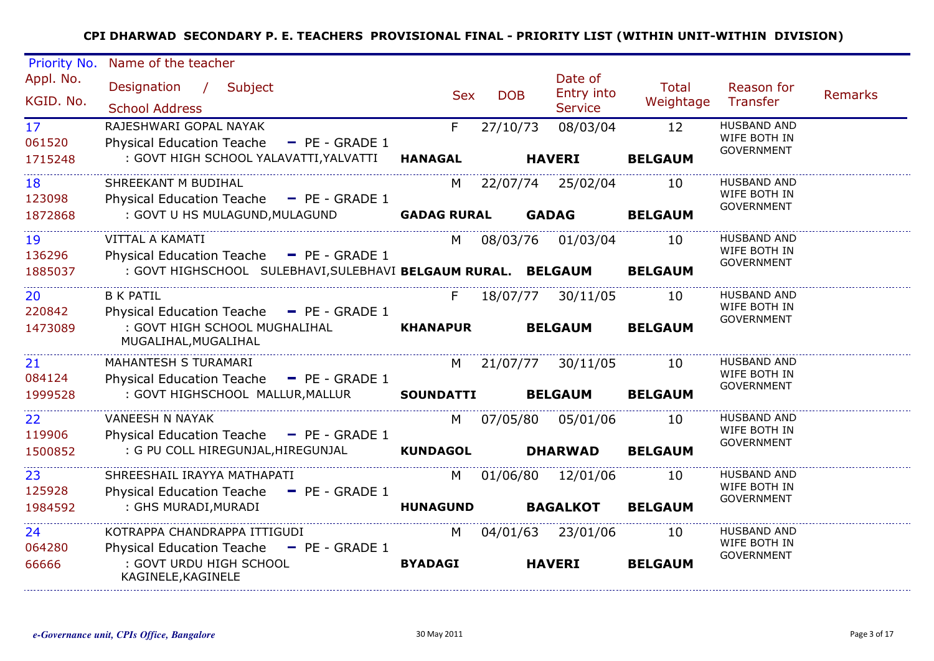| Priority No.              | Name of the teacher                                                            |                    |            |                                         |                           |                                                         |                |
|---------------------------|--------------------------------------------------------------------------------|--------------------|------------|-----------------------------------------|---------------------------|---------------------------------------------------------|----------------|
| Appl. No.<br>KGID. No.    | Designation / Subject<br><b>School Address</b>                                 | <b>Sex</b>         | <b>DOB</b> | Date of<br>Entry into<br><b>Service</b> | <b>Total</b><br>Weightage | Reason for<br><b>Transfer</b>                           | <b>Remarks</b> |
| 17 <sup>7</sup><br>061520 | RAJESHWARI GOPAL NAYAK<br><b>Physical Education Teache</b><br>$-$ PE - GRADE 1 | F.                 | 27/10/73   | 08/03/04                                | 12                        | <b>HUSBAND AND</b><br>WIFE BOTH IN                      |                |
| 1715248                   | : GOVT HIGH SCHOOL YALAVATTI, YALVATTI                                         | <b>HANAGAL</b>     |            | <b>HAVERI</b>                           | <b>BELGAUM</b>            | <b>GOVERNMENT</b>                                       |                |
| 18<br>123098              | SHREEKANT M BUDIHAL<br>Physical Education Teache - PE - GRADE 1                |                    |            | M 22/07/74 25/02/04                     | 10                        | <b>HUSBAND AND</b><br>WIFE BOTH IN                      |                |
| 1872868                   | : GOVT U HS MULAGUND, MULAGUND                                                 | <b>GADAG RURAL</b> |            | <b>GADAG</b>                            | <b>BELGAUM</b>            | GOVERNMENT                                              |                |
| 19<br>136296              | VITTAL A KAMATI<br>Physical Education Teache - PE - GRADE 1                    |                    |            | M 08/03/76 01/03/04                     | 10                        | <b>HUSBAND AND</b><br>WIFE BOTH IN<br><b>GOVERNMENT</b> |                |
| 1885037                   | : GOVT HIGHSCHOOL SULEBHAVI, SULEBHAVI BELGAUM RURAL. BELGAUM                  |                    |            |                                         | <b>BELGAUM</b>            |                                                         |                |
| 20 <sub>2</sub><br>220842 | <b>B K PATIL</b><br>Physical Education Teache - PE - GRADE 1                   | F.                 |            | 18/07/77 30/11/05                       | 10                        | <b>HUSBAND AND</b><br>WIFE BOTH IN<br><b>GOVERNMENT</b> |                |
| 1473089                   | : GOVT HIGH SCHOOL MUGHALIHAL<br>MUGALIHAL, MUGALIHAL                          | <b>KHANAPUR</b>    |            | <b>BELGAUM</b>                          | <b>BELGAUM</b>            |                                                         |                |
| 21<br>084124              | MAHANTESH S TURAMARI<br>Physical Education Teache - PE - GRADE 1               |                    |            | M 21/07/77 30/11/05                     | 10                        | <b>HUSBAND AND</b><br>WIFE BOTH IN<br>GOVERNMENT        |                |
| 1999528                   | : GOVT HIGHSCHOOL MALLUR, MALLUR                                               | <b>SOUNDATTI</b>   |            | <b>BELGAUM</b>                          | <b>BELGAUM</b>            |                                                         |                |
| 22 <sub>2</sub><br>119906 | <b>VANEESH N NAYAK</b><br>Physical Education Teache - PE - GRADE 1             | M <sub>N</sub>     |            | 07/05/80 05/01/06                       | 10                        | <b>HUSBAND AND</b><br>WIFE BOTH IN<br>GOVERNMENT        |                |
| 1500852                   | : G PU COLL HIREGUNJAL, HIREGUNJAL                                             | <b>KUNDAGOL</b>    |            | <b>DHARWAD</b>                          | <b>BELGAUM</b>            |                                                         |                |
| 23<br>125928              | SHREESHAIL IRAYYA MATHAPATI<br>Physical Education Teache - PE - GRADE 1        |                    |            | M 01/06/80 12/01/06                     | 10                        | <b>HUSBAND AND</b><br>WIFE BOTH IN<br>GOVERNMENT        |                |
| 1984592                   | : GHS MURADI, MURADI                                                           | <b>HUNAGUND</b>    |            | <b>BAGALKOT</b>                         | <b>BELGAUM</b>            |                                                         |                |
| 24<br>064280              | KOTRAPPA CHANDRAPPA ITTIGUDI<br>Physical Education Teache - PE - GRADE 1       | M <sub>1</sub>     |            | 04/01/63 23/01/06                       | 10                        | <b>HUSBAND AND</b><br>WIFE BOTH IN                      |                |
| 66666                     | : GOVT URDU HIGH SCHOOL<br>KAGINELE, KAGINELE                                  | <b>BYADAGI</b>     |            | <b>HAVERI</b>                           | <b>BELGAUM</b>            | GOVERNMENT                                              |                |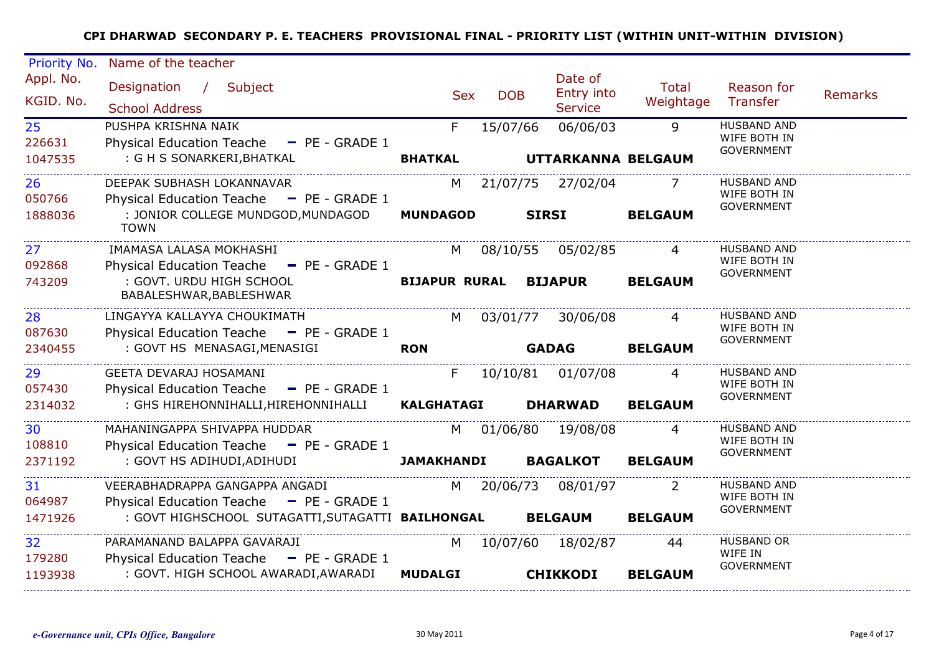| Priority No.              | Name of the teacher                                                                           |                      |            |                                         |                    |                                                         |                |
|---------------------------|-----------------------------------------------------------------------------------------------|----------------------|------------|-----------------------------------------|--------------------|---------------------------------------------------------|----------------|
| Appl. No.<br>KGID. No.    | Designation / Subject<br><b>School Address</b>                                                | <b>Sex</b>           | <b>DOB</b> | Date of<br>Entry into<br><b>Service</b> | Total<br>Weightage | Reason for<br>Transfer                                  | <b>Remarks</b> |
| 25<br>226631<br>1047535   | PUSHPA KRISHNA NAIK<br>Physical Education Teache - PE - GRADE 1<br>: G H S SONARKERI, BHATKAL | F.<br><b>BHATKAL</b> | 15/07/66   | 06/06/03<br>UTTARKANNA BELGAUM          | 9                  | <b>HUSBAND AND</b><br>WIFE BOTH IN<br><b>GOVERNMENT</b> |                |
| 26<br>050766              | DEEPAK SUBHASH LOKANNAVAR<br>Physical Education Teache - PE - GRADE 1                         |                      |            | M 21/07/75 27/02/04                     | $\overline{7}$     | <b>HUSBAND AND</b><br>WIFE BOTH IN<br><b>GOVERNMENT</b> |                |
| 1888036                   | : JONIOR COLLEGE MUNDGOD, MUNDAGOD<br><b>TOWN</b>                                             | <b>MUNDAGOD</b>      |            | <b>SIRSI</b>                            | <b>BELGAUM</b>     |                                                         |                |
| 27 <sub>2</sub><br>092868 | IMAMASA LALASA MOKHASHI<br>Physical Education Teache - PE - GRADE 1                           | M <sub>1</sub>       |            | 08/10/55 05/02/85                       |                    | <b>HUSBAND AND</b><br>WIFE BOTH IN                      |                |
| 743209                    | : GOVT. URDU HIGH SCHOOL<br>BABALESHWAR, BABLESHWAR                                           |                      |            | <b>BIJAPUR RURAL BIJAPUR</b>            | <b>BELGAUM</b>     | <b>GOVERNMENT</b>                                       |                |
| 28<br>087630              | LINGAYYA KALLAYYA CHOUKIMATH<br>Physical Education Teache - PE - GRADE 1                      | M l                  |            | 03/01/77 30/06/08                       | $\overline{4}$     | <b>HUSBAND AND</b><br>WIFE BOTH IN<br><b>GOVERNMENT</b> |                |
| 2340455                   | : GOVT HS MENASAGI, MENASIGI                                                                  | <b>RON</b>           |            | <b>GADAG</b>                            | <b>BELGAUM</b>     |                                                         |                |
| 29<br>057430              | GEETA DEVARAJ HOSAMANI<br>Physical Education Teache - PE - GRADE 1                            | F                    |            | 10/10/81 01/07/08                       |                    | <b>HUSBAND AND</b><br>WIFE BOTH IN<br><b>GOVERNMENT</b> |                |
| 2314032                   | : GHS HIREHONNIHALLI,HIREHONNIHALLI                                                           | <b>KALGHATAGI</b>    |            | <b>DHARWAD</b>                          | <b>BELGAUM</b>     |                                                         |                |
| 30<br>108810              | MAHANINGAPPA SHIVAPPA HUDDAR<br>Physical Education Teache - PE - GRADE 1                      | M l                  |            | 01/06/80 19/08/08                       | 4                  | <b>HUSBAND AND</b><br>WIFE BOTH IN<br><b>GOVERNMENT</b> |                |
| 2371192                   | : GOVT HS ADIHUDI, ADIHUDI                                                                    | <b>JAMAKHANDI</b>    |            | <b>BAGALKOT</b>                         | <b>BELGAUM</b>     |                                                         |                |
| 31<br>064987              | VEERABHADRAPPA GANGAPPA ANGADI<br>Physical Education Teache - PE - GRADE 1                    | M <sub>N</sub>       |            | 20/06/73 08/01/97                       | -2                 | <b>HUSBAND AND</b><br>WIFE BOTH IN<br><b>GOVERNMENT</b> |                |
| 1471926                   | : GOVT HIGHSCHOOL SUTAGATTI,SUTAGATTI <b>BAILHONGAL</b>                                       |                      |            | <b>BELGAUM</b>                          | <b>BELGAUM</b>     |                                                         |                |
| 32<br>179280              | PARAMANAND BALAPPA GAVARAJI<br>Physical Education Teache - PE - GRADE 1                       | M                    |            | 10/07/60 18/02/87                       | 44                 | <b>HUSBAND OR</b><br>WIFE IN<br><b>GOVERNMENT</b>       |                |
| 1193938                   | : GOVT. HIGH SCHOOL AWARADI, AWARADI                                                          | <b>MUDALGI</b>       |            | <b>CHIKKODI</b>                         | <b>BELGAUM</b>     |                                                         |                |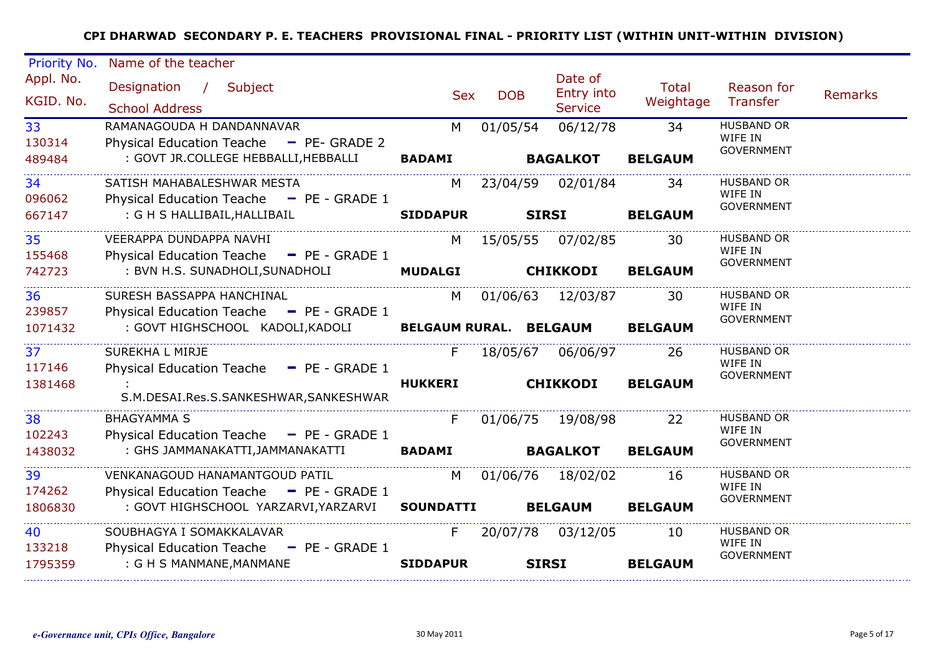| Priority No.           | Name of the teacher                                                                                                 |                   |                 |                                         |                    |                                                   |                |
|------------------------|---------------------------------------------------------------------------------------------------------------------|-------------------|-----------------|-----------------------------------------|--------------------|---------------------------------------------------|----------------|
| Appl. No.<br>KGID. No. | Designation / Subject<br><b>School Address</b>                                                                      | <b>Sex</b>        | <b>DOB</b>      | Date of<br>Entry into<br><b>Service</b> | Total<br>Weightage | Reason for<br><b>Transfer</b>                     | <b>Remarks</b> |
| 33<br>130314           | RAMANAGOUDA H DANDANNAVAR<br>Physical Education Teache - PE- GRADE 2<br>: GOVT JR.COLLEGE HEBBALLI, HEBBALLI BADAMI | M                 | 01/05/54        | 06/12/78                                | 34                 | <b>HUSBAND OR</b><br>WIFE IN<br><b>GOVERNMENT</b> |                |
| 489484                 |                                                                                                                     |                   |                 | <b>BAGALKOT</b>                         | <b>BELGAUM</b>     |                                                   |                |
| 34<br>096062           | SATISH MAHABALESHWAR MESTA<br>Physical Education Teache - PE - GRADE 1                                              |                   |                 | M 23/04/59 02/01/84                     | - 34               | <b>HUSBAND OR</b><br>WIFE IN<br>GOVERNMENT        |                |
| 667147                 | : G H S HALLIBAIL, HALLIBAIL                                                                                        | <b>SIDDAPUR</b>   |                 | SIRSI                                   | <b>BELGAUM</b>     |                                                   |                |
| 35<br>155468           | VEERAPPA DUNDAPPA NAVHI<br>Physical Education Teache - PE - GRADE 1                                                 | M                 |                 | 15/05/55 07/02/85                       | 30                 | <b>HUSBAND OR</b><br>WIFE IN                      |                |
| 742723                 | : BVN H.S. SUNADHOLI, SUNADHOLI MUDALGI                                                                             |                   | <b>CHIKKODI</b> |                                         | <b>BELGAUM</b>     | <b>GOVERNMENT</b>                                 |                |
| 36<br>239857           | SURESH BASSAPPA HANCHINAL<br>Physical Education Teache - PE - GRADE 1                                               | M.                |                 | 01/06/63 12/03/87                       | 30                 | <b>HUSBAND OR</b><br>WIFE IN                      |                |
| 1071432                | : GOVT HIGHSCHOOL KADOLI, KADOLI BELGAUM RURAL. BELGAUM BELGAUM                                                     |                   |                 |                                         |                    | <b>GOVERNMENT</b>                                 |                |
| 37<br>117146           | SUREKHA L MIRJE<br>Physical Education Teache - PE - GRADE 1                                                         | F                 |                 | 18/05/67 06/06/97                       | - 26               | <b>HUSBAND OR</b><br>WIFE IN                      |                |
| 1381468                | S.M.DESAI.Res.S.SANKESHWAR,SANKESHWAR                                                                               | <b>HUKKERI</b>    |                 | <b>CHIKKODI</b>                         | <b>BELGAUM</b>     | <b>GOVERNMENT</b>                                 |                |
| 38<br>102243           | <b>BHAGYAMMA S</b><br>Physical Education Teache - PE - GRADE 1                                                      | $F -$             |                 | 01/06/75 19/08/98                       | <b>22</b>          | <b>HUSBAND OR</b><br>WIFE IN                      |                |
| 1438032                | : GHS JAMMANAKATTI,JAMMANAKATTI BADAMI                                                                              |                   | <b>BAGALKOT</b> |                                         | <b>BELGAUM</b>     | <b>GOVERNMENT</b>                                 |                |
| 39<br>174262           | VENKANAGOUD HANAMANTGOUD PATIL<br>Physical Education Teache - PE - GRADE 1                                          | M                 |                 | 01/06/76 18/02/02                       | 16                 | <b>HUSBAND OR</b><br>WIFE IN                      |                |
| 1806830                | : GOVT HIGHSCHOOL YARZARVI, YARZARVI                                                                                | SOUNDATTI BELGAUM |                 |                                         | <b>BELGAUM</b>     | <b>GOVERNMENT</b>                                 |                |
| 40<br>133218           | SOUBHAGYA I SOMAKKALAVAR<br>Physical Education Teache - PE - GRADE 1                                                | F                 |                 | 20/07/78 03/12/05                       | 10                 | <b>HUSBAND OR</b><br>WIFE IN<br><b>GOVERNMENT</b> |                |
| 1795359                | : G H S MANMANE, MANMANE                                                                                            | <b>SIDDAPUR</b>   |                 | <b>SIRSI</b>                            | <b>BELGAUM</b>     |                                                   |                |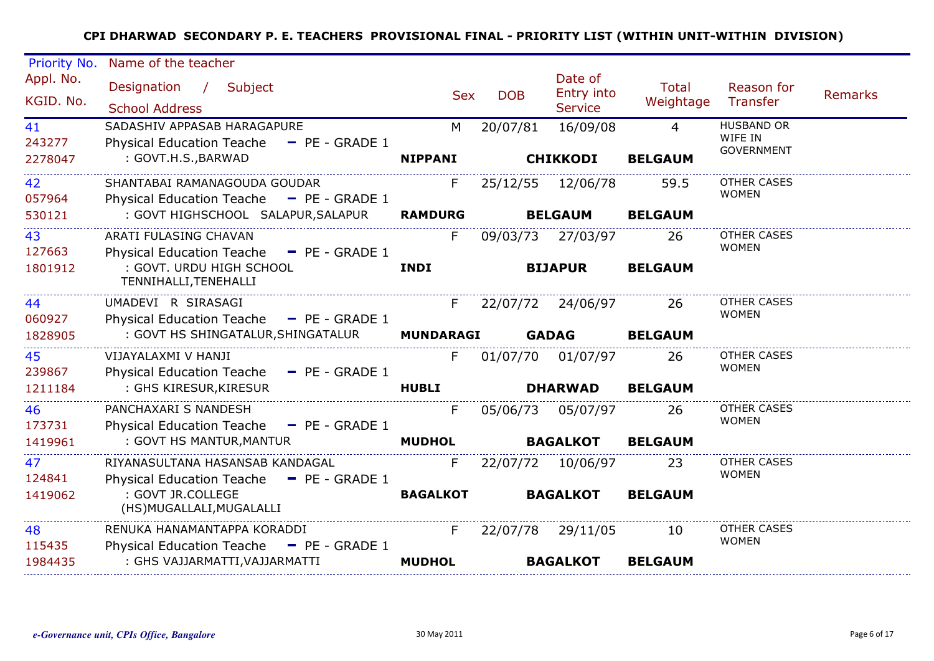| Priority No.            | Name of the teacher                                                                                                          |                      |                     |                                         |                                  |                                                   |                |
|-------------------------|------------------------------------------------------------------------------------------------------------------------------|----------------------|---------------------|-----------------------------------------|----------------------------------|---------------------------------------------------|----------------|
| Appl. No.<br>KGID. No.  | Designation / Subject<br><b>School Address</b>                                                                               | <b>Sex</b>           | <b>DOB</b>          | Date of<br>Entry into<br><b>Service</b> | <b>Total</b><br>Weightage        | Reason for<br><b>Transfer</b>                     | <b>Remarks</b> |
| 41<br>243277<br>2278047 | SADASHIV APPASAB HARAGAPURE<br>Physical Education Teache - PE - GRADE 1<br>: GOVT.H.S., BARWAD                               | M<br><b>NIPPANI</b>  | 20/07/81            | 16/09/08<br><b>CHIKKODI</b>             | $\overline{4}$<br><b>BELGAUM</b> | <b>HUSBAND OR</b><br>WIFE IN<br><b>GOVERNMENT</b> |                |
| 42<br>057964<br>530121  | SHANTABAI RAMANAGOUDA GOUDAR<br>Physical Education Teache - PE - GRADE 1<br>: GOVT HIGHSCHOOL SALAPUR, SALAPUR               | F.<br><b>RAMDURG</b> |                     | 25/12/55 12/06/78<br><b>BELGAUM</b>     | 59.5<br><b>BELGAUM</b>           | <b>OTHER CASES</b><br><b>WOMEN</b>                |                |
| 43<br>127663<br>1801912 | ARATI FULASING CHAVAN<br>Physical Education Teache - PE - GRADE 1<br>: GOVT. URDU HIGH SCHOOL<br>TENNIHALLI, TENEHALLI       | F.<br><b>INDI</b>    |                     | 09/03/73 27/03/97<br><b>BIJAPUR</b>     | 26<br><b>BELGAUM</b>             | <b>OTHER CASES</b><br><b>WOMEN</b>                |                |
| 44<br>060927<br>1828905 | UMADEVI R SIRASAGI<br>Physical Education Teache - PE - GRADE 1<br>: GOVT HS SHINGATALUR, SHINGATALUR                         | <b>MUNDARAGI</b>     | F 22/07/72 24/06/97 | <b>GADAG</b>                            | 26<br><b>BELGAUM</b>             | <b>OTHER CASES</b><br><b>WOMEN</b>                |                |
| 45<br>239867<br>1211184 | VIJAYALAXMI V HANJI<br>Physical Education Teache - PE - GRADE 1<br>: GHS KIRESUR, KIRESUR                                    | F.<br><b>HUBLI</b>   |                     | 01/07/70 01/07/97<br><b>DHARWAD</b>     | 26<br><b>BELGAUM</b>             | <b>OTHER CASES</b><br><b>WOMEN</b>                |                |
| 46<br>173731<br>1419961 | PANCHAXARI S NANDESH<br>Physical Education Teache - PE - GRADE 1<br>: GOVT HS MANTUR, MANTUR                                 | F.<br><b>MUDHOL</b>  |                     | 05/06/73 05/07/97<br><b>BAGALKOT</b>    | 26<br><b>BELGAUM</b>             | OTHER CASES<br><b>WOMEN</b>                       |                |
| 47<br>124841<br>1419062 | RIYANASULTANA HASANSAB KANDAGAL<br>Physical Education Teache - PE - GRADE 1<br>: GOVT JR.COLLEGE<br>(HS)MUGALLALI, MUGALALLI | F<br><b>BAGALKOT</b> |                     | 22/07/72 10/06/97<br><b>BAGALKOT</b>    | 23<br><b>BELGAUM</b>             | <b>OTHER CASES</b><br><b>WOMEN</b>                |                |
| 48<br>115435<br>1984435 | RENUKA HANAMANTAPPA KORADDI<br>Physical Education Teache - PE - GRADE 1<br>: GHS VAJJARMATTI, VAJJARMATTI                    | F.<br><b>MUDHOL</b>  |                     | 22/07/78 29/11/05<br><b>BAGALKOT</b>    | 10<br><b>BELGAUM</b>             | <b>OTHER CASES</b><br><b>WOMEN</b>                |                |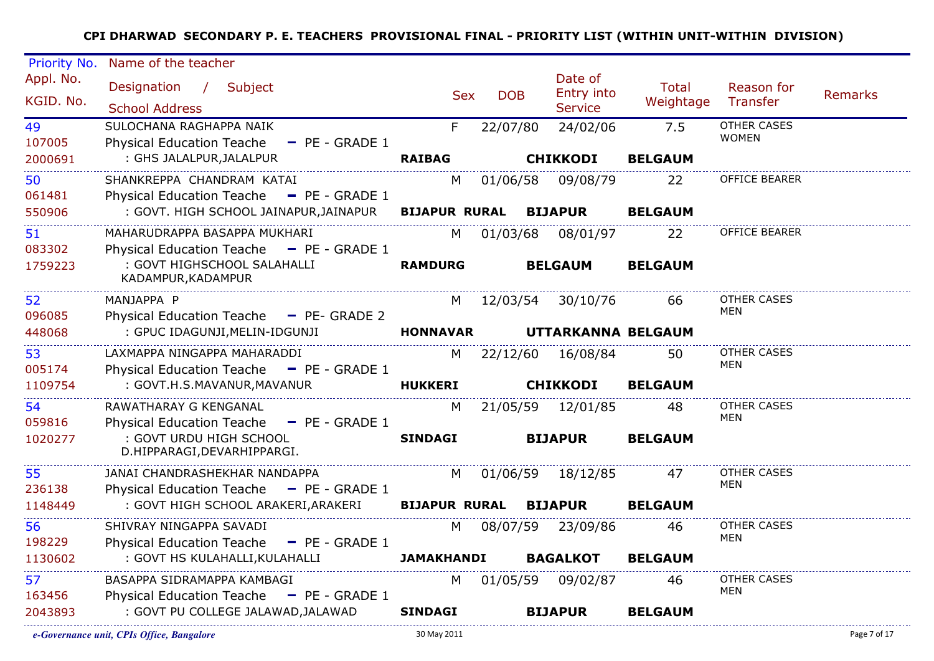| Priority No. | Name of the teacher                                                       |                                                                                                                                                                                                                                |            |                    |                |                             |                |
|--------------|---------------------------------------------------------------------------|--------------------------------------------------------------------------------------------------------------------------------------------------------------------------------------------------------------------------------|------------|--------------------|----------------|-----------------------------|----------------|
| Appl. No.    | Designation / Subject                                                     |                                                                                                                                                                                                                                |            | Date of            | <b>Total</b>   | Reason for                  |                |
| KGID. No.    |                                                                           | <b>Sex</b>                                                                                                                                                                                                                     | <b>DOB</b> | Entry into         | Weightage      | Transfer                    | <b>Remarks</b> |
|              | <b>School Address</b>                                                     |                                                                                                                                                                                                                                |            | <b>Service</b>     |                |                             |                |
| 49<br>107005 | SULOCHANA RAGHAPPA NAIK<br>Physical Education Teache - PE - GRADE 1       | F                                                                                                                                                                                                                              | 22/07/80   | 24/02/06           | 7.5            | OTHER CASES<br><b>WOMEN</b> |                |
| 2000691      | : GHS JALALPUR, JALALPUR                                                  | <b>RAIBAG</b>                                                                                                                                                                                                                  |            | <b>CHIKKODI</b>    | <b>BELGAUM</b> |                             |                |
|              | SHANKREPPA CHANDRAM KATAI                                                 |                                                                                                                                                                                                                                |            |                    |                | OFFICE BEARER               |                |
| 50<br>061481 | Physical Education Teache - PE - GRADE 1                                  | M                                                                                                                                                                                                                              | 01/06/58   | 09/08/79           | 22             |                             |                |
| 550906       | : GOVT. HIGH SCHOOL JAINAPUR, JAINAPUR                                    | <b>BIJAPUR RURAL</b>                                                                                                                                                                                                           |            | <b>BIJAPUR</b>     | <b>BELGAUM</b> |                             |                |
| 51           | MAHARUDRAPPA BASAPPA MUKHARI                                              | M and the set of the set of the set of the set of the set of the set of the set of the set of the set of the set of the set of the set of the set of the set of the set of the set of the set of the set of the set of the set | 01/03/68   | 08/01/97           | 22             | OFFICE BEARER               |                |
| 083302       | Physical Education Teache - PE - GRADE 1                                  |                                                                                                                                                                                                                                |            |                    |                |                             |                |
| 1759223      | : GOVT HIGHSCHOOL SALAHALLI                                               | <b>RAMDURG</b>                                                                                                                                                                                                                 |            | <b>BELGAUM</b>     | <b>BELGAUM</b> |                             |                |
|              | KADAMPUR, KADAMPUR                                                        |                                                                                                                                                                                                                                |            |                    |                |                             |                |
| 52           | MANJAPPA P                                                                | M                                                                                                                                                                                                                              |            | 12/03/54 30/10/76  | 66             | <b>OTHER CASES</b>          |                |
| 096085       | Physical Education Teache - PE- GRADE 2                                   |                                                                                                                                                                                                                                |            |                    |                | MEN                         |                |
| 448068       | : GPUC IDAGUNJI, MELIN-IDGUNJI                                            | <b>HONNAVAR</b>                                                                                                                                                                                                                |            | UTTARKANNA BELGAUM |                |                             |                |
| 53           | LAXMAPPA NINGAPPA MAHARADDI                                               | M and the set of the set of the set of the set of the set of the set of the set of the set of the set of the set of the set of the set of the set of the set of the set of the set of the set of the set of the set of the set |            | 22/12/60 16/08/84  | 50             | OTHER CASES                 |                |
| 005174       | Physical Education Teache - PE - GRADE 1                                  |                                                                                                                                                                                                                                |            |                    |                | MEN                         |                |
| 1109754      | : GOVT.H.S.MAVANUR, MAVANUR                                               | <b>HUKKERI</b>                                                                                                                                                                                                                 |            | <b>CHIKKODI</b>    | <b>BELGAUM</b> |                             |                |
| 54           | RAWATHARAY G KENGANAL                                                     | M                                                                                                                                                                                                                              |            | 21/05/59 12/01/85  | 48.            | OTHER CASES                 |                |
| 059816       | Physical Education Teache - PE - GRADE 1                                  |                                                                                                                                                                                                                                |            |                    |                | MEN                         |                |
| 1020277      | : GOVT URDU HIGH SCHOOL<br>D.HIPPARAGI, DEVARHIPPARGI.                    | <b>SINDAGI</b>                                                                                                                                                                                                                 |            | <b>BIJAPUR</b>     | <b>BELGAUM</b> |                             |                |
|              |                                                                           |                                                                                                                                                                                                                                |            |                    |                |                             |                |
| 55<br>236138 | JANAI CHANDRASHEKHAR NANDAPPA<br>Physical Education Teache - PE - GRADE 1 | M l                                                                                                                                                                                                                            |            | 01/06/59 18/12/85  | 47             | <b>OTHER CASES</b><br>MEN   |                |
| 1148449      | : GOVT HIGH SCHOOL ARAKERI,ARAKERI                                        | <b>BIJAPUR RURAL BIJAPUR</b>                                                                                                                                                                                                   |            |                    | <b>BELGAUM</b> |                             |                |
|              | SHIVRAY NINGAPPA SAVADI                                                   |                                                                                                                                                                                                                                |            |                    |                | OTHER CASES                 |                |
| 56<br>198229 | Physical Education Teache - PE - GRADE 1                                  | M                                                                                                                                                                                                                              |            | 08/07/59 23/09/86  | 46             | MEN                         |                |
| 1130602      | : GOVT HS KULAHALLI, KULAHALLI                                            | <b>JAMAKHANDI</b>                                                                                                                                                                                                              |            | <b>BAGALKOT</b>    | <b>BELGAUM</b> |                             |                |
| 57           | BASAPPA SIDRAMAPPA KAMBAGI                                                | M .                                                                                                                                                                                                                            |            | 01/05/59 09/02/87  | 46             | <b>OTHER CASES</b>          |                |
| 163456       | Physical Education Teache - PE - GRADE 1                                  |                                                                                                                                                                                                                                |            |                    |                | MEN                         |                |
| 2043893      | : GOVT PU COLLEGE JALAWAD, JALAWAD                                        | <b>SINDAGI</b>                                                                                                                                                                                                                 |            | <b>BIJAPUR</b>     | <b>BELGAUM</b> |                             |                |
|              |                                                                           |                                                                                                                                                                                                                                |            |                    |                |                             |                |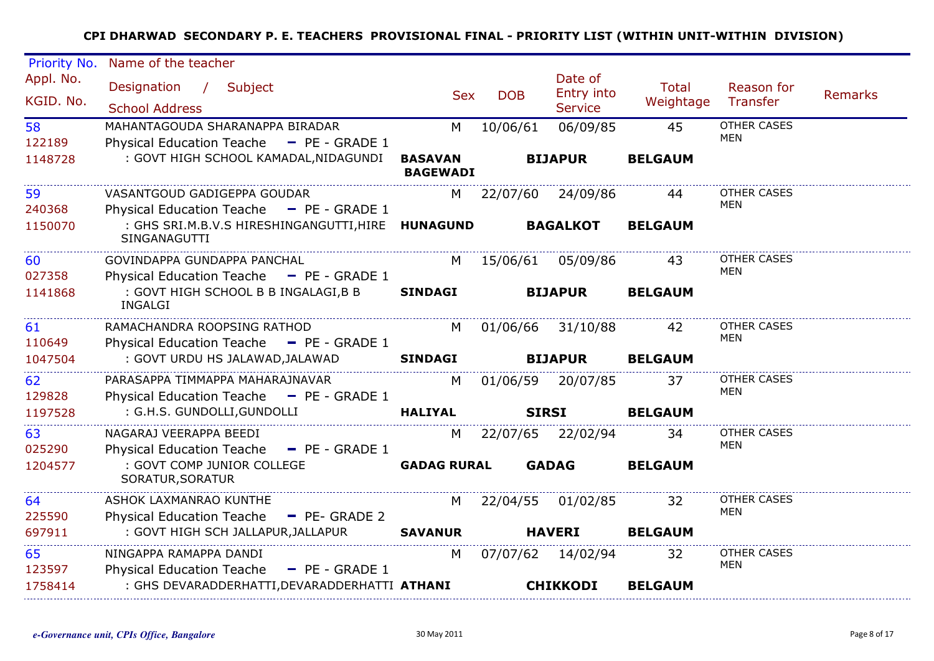| Name of the teacher                                                     |                                                                                                                                                                                                                         |                                       |                                                                                                                                                          |                                                                                                                                                                                         |                                                                                                           |                |
|-------------------------------------------------------------------------|-------------------------------------------------------------------------------------------------------------------------------------------------------------------------------------------------------------------------|---------------------------------------|----------------------------------------------------------------------------------------------------------------------------------------------------------|-----------------------------------------------------------------------------------------------------------------------------------------------------------------------------------------|-----------------------------------------------------------------------------------------------------------|----------------|
| Designation / Subject<br><b>School Address</b>                          |                                                                                                                                                                                                                         | <b>DOB</b>                            | Date of<br>Entry into<br><b>Service</b>                                                                                                                  | <b>Total</b>                                                                                                                                                                            | Reason for<br>Transfer                                                                                    | <b>Remarks</b> |
| MAHANTAGOUDA SHARANAPPA BIRADAR                                         | M                                                                                                                                                                                                                       | 10/06/61                              | 06/09/85                                                                                                                                                 | 45                                                                                                                                                                                      | <b>OTHER CASES</b><br><b>MEN</b>                                                                          |                |
|                                                                         | <b>BASAVAN</b>                                                                                                                                                                                                          |                                       |                                                                                                                                                          | <b>BELGAUM</b>                                                                                                                                                                          |                                                                                                           |                |
| VASANTGOUD GADIGEPPA GOUDAR                                             |                                                                                                                                                                                                                         |                                       |                                                                                                                                                          | 44                                                                                                                                                                                      | <b>OTHER CASES</b><br><b>MEN</b>                                                                          |                |
| SINGANAGUTTI                                                            |                                                                                                                                                                                                                         |                                       |                                                                                                                                                          | <b>BELGAUM</b>                                                                                                                                                                          |                                                                                                           |                |
| GOVINDAPPA GUNDAPPA PANCHAL<br>Physical Education Teache - PE - GRADE 1 | M                                                                                                                                                                                                                       |                                       |                                                                                                                                                          | 43                                                                                                                                                                                      | <b>OTHER CASES</b><br>MEN                                                                                 |                |
| : GOVT HIGH SCHOOL B B INGALAGI, B B<br><b>INGALGI</b>                  | <b>SINDAGI</b>                                                                                                                                                                                                          |                                       |                                                                                                                                                          | <b>BELGAUM</b>                                                                                                                                                                          |                                                                                                           |                |
| RAMACHANDRA ROOPSING RATHOD                                             |                                                                                                                                                                                                                         |                                       |                                                                                                                                                          | 42                                                                                                                                                                                      | <b>OTHER CASES</b><br><b>MEN</b>                                                                          |                |
| : GOVT URDU HS JALAWAD, JALAWAD                                         | <b>SINDAGI</b>                                                                                                                                                                                                          |                                       |                                                                                                                                                          | <b>BELGAUM</b>                                                                                                                                                                          |                                                                                                           |                |
| PARASAPPA TIMMAPPA MAHARAJNAVAR                                         |                                                                                                                                                                                                                         |                                       |                                                                                                                                                          | 37                                                                                                                                                                                      | <b>OTHER CASES</b><br>MEN                                                                                 |                |
| : G.H.S. GUNDOLLI, GUNDOLLI                                             | <b>HALIYAL</b>                                                                                                                                                                                                          |                                       |                                                                                                                                                          | <b>BELGAUM</b>                                                                                                                                                                          |                                                                                                           |                |
| NAGARAJ VEERAPPA BEEDI<br>Physical Education Teache - PE - GRADE 1      | M                                                                                                                                                                                                                       |                                       |                                                                                                                                                          | 34                                                                                                                                                                                      | <b>OTHER CASES</b><br>MEN                                                                                 |                |
| : GOVT COMP JUNIOR COLLEGE<br>SORATUR, SORATUR                          |                                                                                                                                                                                                                         |                                       |                                                                                                                                                          | <b>BELGAUM</b>                                                                                                                                                                          |                                                                                                           |                |
| ASHOK LAXMANRAO KUNTHE                                                  |                                                                                                                                                                                                                         |                                       |                                                                                                                                                          | 32                                                                                                                                                                                      | OTHER CASES<br><b>MEN</b>                                                                                 |                |
| : GOVT HIGH SCH JALLAPUR,JALLAPUR                                       | <b>SAVANUR</b>                                                                                                                                                                                                          |                                       |                                                                                                                                                          | <b>BELGAUM</b>                                                                                                                                                                          |                                                                                                           |                |
| NINGAPPA RAMAPPA DANDI<br>Physical Education Teache - PE - GRADE 1      | M                                                                                                                                                                                                                       |                                       |                                                                                                                                                          | 32                                                                                                                                                                                      | OTHER CASES<br><b>MEN</b>                                                                                 |                |
|                                                                         |                                                                                                                                                                                                                         |                                       |                                                                                                                                                          | <b>BELGAUM</b>                                                                                                                                                                          |                                                                                                           |                |
|                                                                         | Physical Education Teache - PE - GRADE 1<br>Physical Education Teache - PE - GRADE 1<br>Physical Education Teache - PE - GRADE 1<br>Physical Education Teache - PE - GRADE 1<br>Physical Education Teache - PE- GRADE 2 | : GOVT HIGH SCHOOL KAMADAL, NIDAGUNDI | <b>Sex</b><br><b>BAGEWADI</b><br>: GHS SRI.M.B.V.S HIRESHINGANGUTTI, HIRE HUNAGUND<br><b>GADAG RURAL</b><br>: GHS DEVARADDERHATTI,DEVARADDERHATTI ATHANI | <b>BIJAPUR</b><br><b>BAGALKOT</b><br><b>BIJAPUR</b><br>M 01/06/66 31/10/88<br><b>BIJAPUR</b><br>M 01/06/59 20/07/85<br><b>SIRSI</b><br><b>GADAG</b><br><b>HAVERI</b><br><b>CHIKKODI</b> | M 22/07/60 24/09/86<br>15/06/61 05/09/86<br>22/07/65 22/02/94<br>M 22/04/55 01/02/85<br>07/07/62 14/02/94 | Weightage      |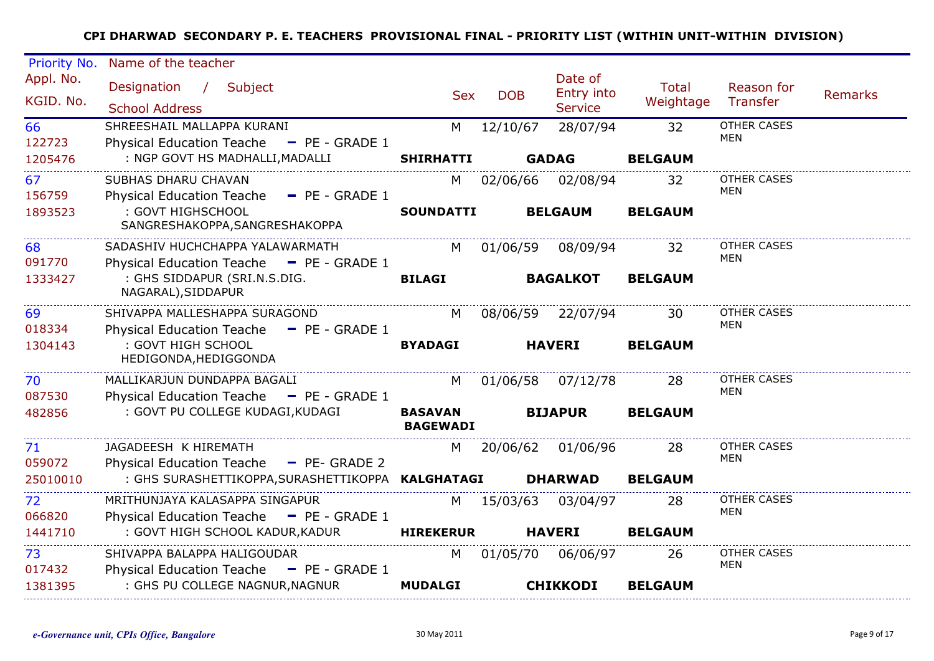| Name of the teacher                                                         |                                                      |            |                                                                                                                                                                  |                                                                                                                                                                                                                                                                      |                                     |         |
|-----------------------------------------------------------------------------|------------------------------------------------------|------------|------------------------------------------------------------------------------------------------------------------------------------------------------------------|----------------------------------------------------------------------------------------------------------------------------------------------------------------------------------------------------------------------------------------------------------------------|-------------------------------------|---------|
| Designation / Subject<br><b>School Address</b>                              |                                                      | <b>DOB</b> | Date of<br>Entry into<br><b>Service</b>                                                                                                                          | <b>Total</b><br>Weightage                                                                                                                                                                                                                                            | Reason for<br>Transfer              | Remarks |
| SHREESHAIL MALLAPPA KURANI<br>Physical Education Teache - PE - GRADE 1      | M                                                    |            | 28/07/94                                                                                                                                                         | 32                                                                                                                                                                                                                                                                   | <b>OTHER CASES</b><br><b>MEN</b>    |         |
|                                                                             |                                                      |            |                                                                                                                                                                  |                                                                                                                                                                                                                                                                      |                                     |         |
| SUBHAS DHARU CHAVAN<br>Physical Education Teache - PE - GRADE 1             | M <sub>1</sub>                                       |            |                                                                                                                                                                  | 32                                                                                                                                                                                                                                                                   | <b>OTHER CASES</b><br>MEN           |         |
| SANGRESHAKOPPA, SANGRESHAKOPPA                                              |                                                      |            |                                                                                                                                                                  | <b>BELGAUM</b>                                                                                                                                                                                                                                                       |                                     |         |
| SADASHIV HUCHCHAPPA YALAWARMATH<br>Physical Education Teache - PE - GRADE 1 | M                                                    |            | 08/09/94                                                                                                                                                         | 32                                                                                                                                                                                                                                                                   | <b>OTHER CASES</b><br>MEN           |         |
| : GHS SIDDAPUR (SRI.N.S.DIG.<br>NAGARAL), SIDDAPUR                          | <b>BILAGI</b>                                        |            |                                                                                                                                                                  | <b>BELGAUM</b>                                                                                                                                                                                                                                                       |                                     |         |
| SHIVAPPA MALLESHAPPA SURAGOND<br>Physical Education Teache - PE - GRADE 1   |                                                      |            |                                                                                                                                                                  | 30                                                                                                                                                                                                                                                                   | <b>OTHER CASES</b><br><b>MEN</b>    |         |
| : GOVT HIGH SCHOOL<br>HEDIGONDA, HEDIGGONDA                                 | <b>BYADAGI</b>                                       |            |                                                                                                                                                                  | <b>BELGAUM</b>                                                                                                                                                                                                                                                       |                                     |         |
| MALLIKARJUN DUNDAPPA BAGALI<br>Physical Education Teache - PE - GRADE 1     | M                                                    |            |                                                                                                                                                                  | 28                                                                                                                                                                                                                                                                   | OTHER CASES<br>MEN                  |         |
| : GOVT PU COLLEGE KUDAGI, KUDAGI                                            | <b>BASAVAN</b>                                       |            |                                                                                                                                                                  | <b>BELGAUM</b>                                                                                                                                                                                                                                                       |                                     |         |
| JAGADEESH K HIREMATH<br>Physical Education Teache - PE- GRADE 2             | M                                                    |            |                                                                                                                                                                  | 28                                                                                                                                                                                                                                                                   | OTHER CASES<br><b>MEN</b>           |         |
|                                                                             |                                                      |            |                                                                                                                                                                  | <b>BELGAUM</b>                                                                                                                                                                                                                                                       |                                     |         |
| MRITHUNJAYA KALASAPPA SINGAPUR<br>Physical Education Teache - PE - GRADE 1  |                                                      |            | 03/04/97                                                                                                                                                         | 28                                                                                                                                                                                                                                                                   | OTHER CASES<br><b>MEN</b>           |         |
| : GOVT HIGH SCHOOL KADUR, KADUR                                             |                                                      |            |                                                                                                                                                                  | <b>BELGAUM</b>                                                                                                                                                                                                                                                       |                                     |         |
| SHIVAPPA BALAPPA HALIGOUDAR<br>Physical Education Teache - PE - GRADE 1     | M                                                    |            |                                                                                                                                                                  | 26                                                                                                                                                                                                                                                                   | OTHER CASES<br><b>MEN</b>           |         |
| : GHS PU COLLEGE NAGNUR, NAGNUR                                             | <b>MUDALGI</b>                                       |            |                                                                                                                                                                  | <b>BELGAUM</b>                                                                                                                                                                                                                                                       |                                     |         |
|                                                                             | : NGP GOVT HS MADHALLI, MADALLI<br>: GOVT HIGHSCHOOL |            | <b>Sex</b><br><b>SHIRHATTI</b><br><b>SOUNDATTI</b><br>M <sub>N</sub><br><b>BAGEWADI</b><br>: GHS SURASHETTIKOPPA, SURASHETTIKOPPA KALGHATAGI<br><b>HIREKERUR</b> | 12/10/67<br><b>GADAG</b><br>02/06/66 02/08/94<br><b>BELGAUM</b><br>01/06/59<br><b>BAGALKOT</b><br>08/06/59 22/07/94<br><b>HAVERI</b><br>01/06/58 07/12/78<br><b>BIJAPUR</b><br><b>DHARWAD</b><br>M 15/03/63<br><b>HAVERI</b><br>01/05/70 06/06/97<br><b>CHIKKODI</b> | <b>BELGAUM</b><br>20/06/62 01/06/96 |         |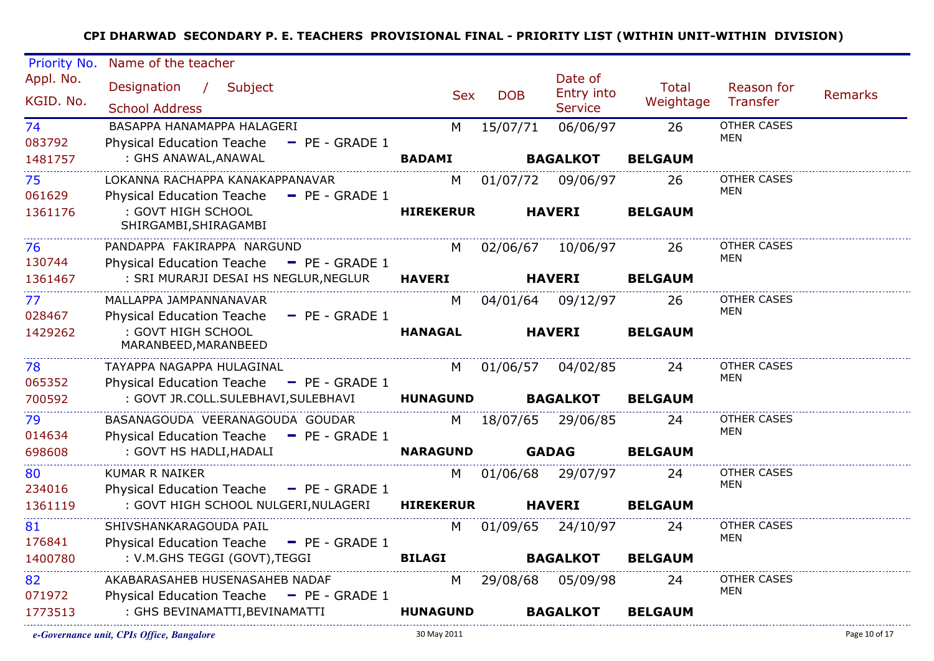| Priority No.              | Name of the teacher                                                                           |                  |            |                                         |                    |                           |         |
|---------------------------|-----------------------------------------------------------------------------------------------|------------------|------------|-----------------------------------------|--------------------|---------------------------|---------|
| Appl. No.<br>KGID. No.    | Designation / Subject<br><b>School Address</b>                                                | <b>Sex</b>       | <b>DOB</b> | Date of<br>Entry into<br><b>Service</b> | Total<br>Weightage | Reason for<br>Transfer    | Remarks |
| 74<br>083792              | BASAPPA HANAMAPPA HALAGERI                                                                    | M                | 15/07/71   | 06/06/97                                | 26                 | OTHER CASES<br>MEN        |         |
| 1481757                   | <b>Physical Education Teache</b><br>$-$ PE - GRADE 1<br>: GHS ANAWAL,ANAWAL                   | <b>BADAMI</b>    |            | <b>BAGALKOT</b>                         | <b>BELGAUM</b>     |                           |         |
| 75<br>061629              | LOKANNA RACHAPPA KANAKAPPANAVAR<br>Physical Education Teache - PE - GRADE 1                   | M                | 01/07/72   | 09/06/97                                | -26                | OTHER CASES<br>MEN        |         |
| 1361176                   | : GOVT HIGH SCHOOL<br>SHIRGAMBI, SHIRAGAMBI                                                   | <b>HIREKERUR</b> |            | <b>HAVERI</b>                           | <b>BELGAUM</b>     |                           |         |
| 76<br>130744              | PANDAPPA FAKIRAPPA NARGUND<br><b>Physical Education Teache</b><br>$\blacksquare$ PE - GRADE 1 |                  |            | M 02/06/67 10/06/97                     | -26                | <b>OTHER CASES</b><br>MEN |         |
| 1361467                   |                                                                                               |                  |            | <b>HAVERI</b>                           | <b>BELGAUM</b>     |                           |         |
| 77 <sup>°</sup><br>028467 | MALLAPPA JAMPANNANAVAR<br>Physical Education Teache - PE - GRADE 1                            | M                |            | 04/01/64 09/12/97                       | 26                 | OTHER CASES<br><b>MEN</b> |         |
| 1429262                   | : GOVT HIGH SCHOOL<br>MARANBEED, MARANBEED                                                    | <b>HANAGAL</b>   |            | <b>HAVERI</b>                           | <b>BELGAUM</b>     |                           |         |
| 78<br>065352              | TAYAPPA NAGAPPA HULAGINAL<br>Physical Education Teache - PE - GRADE 1                         | M                |            | 01/06/57 04/02/85                       | 24                 | <b>OTHER CASES</b><br>MEN |         |
| 700592                    | : GOVT JR.COLL.SULEBHAVI,SULEBHAVI HUNAGUND                                                   |                  |            | <b>BAGALKOT</b>                         | <b>BELGAUM</b>     |                           |         |
| 79<br>014634              | BASANAGOUDA VEERANAGOUDA GOUDAR<br>Physical Education Teache - PE - GRADE 1                   |                  |            | M 18/07/65 29/06/85                     | 24                 | OTHER CASES<br><b>MEN</b> |         |
| 698608                    | : GOVT HS HADLI, HADALI                                                                       | <b>NARAGUND</b>  |            | <b>GADAG</b>                            | <b>BELGAUM</b>     |                           |         |
| 80<br>234016              | <b>KUMAR R NAIKER</b><br>Physical Education Teache - PE - GRADE 1                             | M l              |            | 01/06/68 29/07/97                       | 24                 | OTHER CASES<br><b>MEN</b> |         |
| 1361119                   | : GOVT HIGH SCHOOL NULGERI,NULAGERI                                                           | <b>HIREKERUR</b> |            | <b>HAVERI</b>                           | <b>BELGAUM</b>     |                           |         |
| 81                        | SHIVSHANKARAGOUDA PAIL                                                                        | M l              |            | 01/09/65 24/10/97                       | 24                 | OTHER CASES<br><b>MEN</b> |         |
| 176841<br>1400780         | Physical Education Teache - PE - GRADE 1<br>: V.M.GHS TEGGI (GOVT), TEGGI                     | <b>BILAGI</b>    |            | <b>BAGALKOT</b>                         | <b>BELGAUM</b>     |                           |         |
| 82<br>071972              | AKABARASAHEB HUSENASAHEB NADAF<br>Physical Education Teache - PE - GRADE 1                    |                  |            | M 29/08/68 05/09/98                     | 24                 | OTHER CASES<br>MEN        |         |
| 1773513                   | : GHS BEVINAMATTI, BEVINAMATTI                                                                | <b>HUNAGUND</b>  |            | <b>BAGALKOT</b>                         | <b>BELGAUM</b>     |                           |         |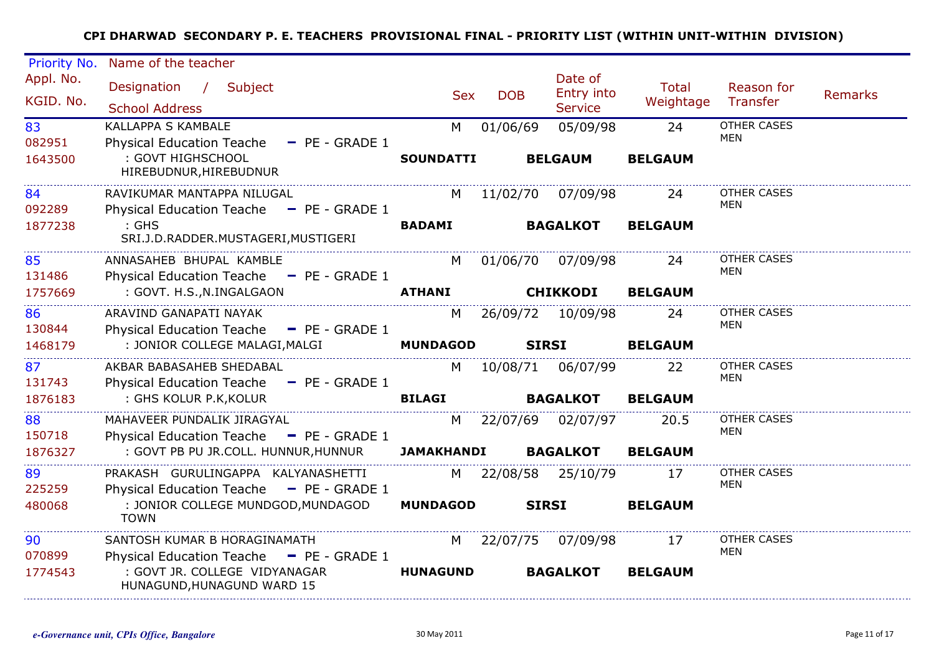| Priority No.           | Name of the teacher                                                                                     |                   |            |                                         |                    |                           |                |
|------------------------|---------------------------------------------------------------------------------------------------------|-------------------|------------|-----------------------------------------|--------------------|---------------------------|----------------|
| Appl. No.<br>KGID. No. | Designation / Subject<br><b>School Address</b>                                                          | <b>Sex</b>        | <b>DOB</b> | Date of<br>Entry into<br><b>Service</b> | Total<br>Weightage | Reason for<br>Transfer    | <b>Remarks</b> |
| 83                     | KALLAPPA S KAMBALE                                                                                      | M                 | 01/06/69   | 05/09/98                                | 24                 | <b>OTHER CASES</b><br>MEN |                |
| 082951<br>1643500      | Physical Education Teache - PE - GRADE 1<br>: GOVT HIGHSCHOOL<br>HIREBUDNUR, HIREBUDNUR                 | <b>SOUNDATTI</b>  |            | <b>BELGAUM</b>                          | <b>BELGAUM</b>     |                           |                |
| 84                     | RAVIKUMAR MANTAPPA NILUGAL                                                                              | M                 | 11/02/70   | 07/09/98                                | 24                 | <b>OTHER CASES</b>        |                |
| 092289                 | Physical Education Teache - PE - GRADE 1                                                                |                   |            |                                         |                    | MEN                       |                |
| 1877238                | $:$ GHS<br>SRI.J.D.RADDER.MUSTAGERI, MUSTIGERI                                                          | <b>BADAMI</b>     |            | <b>BAGALKOT</b>                         | <b>BELGAUM</b>     |                           |                |
| 85<br>131486           | ANNASAHEB BHUPAL KAMBLE<br>Physical Education Teache - PE - GRADE 1                                     | M                 | 01/06/70   | 07/09/98                                | 24                 | <b>OTHER CASES</b><br>MEN |                |
| 1757669                | : GOVT. H.S., N. INGALGAON                                                                              | <b>ATHANI</b>     |            | <b>CHIKKODI</b>                         | <b>BELGAUM</b>     |                           |                |
| 86<br>130844           | ARAVIND GANAPATI NAYAK<br>Physical Education Teache - PE - GRADE 1                                      | M                 |            | 26/09/72 10/09/98                       | 24                 | OTHER CASES<br>MEN        |                |
| 1468179                | : JONIOR COLLEGE MALAGI, MALGI                                                                          | <b>MUNDAGOD</b>   |            | <b>SIRSI</b>                            | <b>BELGAUM</b>     |                           |                |
| 87<br>131743           | AKBAR BABASAHEB SHEDABAL<br>Physical Education Teache - PE - GRADE 1                                    | M                 |            | 10/08/71 06/07/99                       | 22                 | <b>OTHER CASES</b><br>MEN |                |
| 1876183                | : GHS KOLUR P.K, KOLUR                                                                                  | <b>BILAGI</b>     |            | <b>BAGALKOT</b>                         | <b>BELGAUM</b>     |                           |                |
| 88<br>150718           | MAHAVEER PUNDALIK JIRAGYAL<br>Physical Education Teache - PE - GRADE 1                                  | M                 |            | 22/07/69 02/07/97                       | 20.5               | <b>OTHER CASES</b><br>MEN |                |
| 1876327                | : GOVT PB PU JR.COLL. HUNNUR,HUNNUR                                                                     | <b>JAMAKHANDI</b> |            | <b>BAGALKOT</b>                         | <b>BELGAUM</b>     |                           |                |
| 89<br>225259           | PRAKASH GURULINGAPPA KALYANASHETTI<br>Physical Education Teache - PE - GRADE 1                          |                   |            | M 22/08/58 25/10/79                     | 17                 | <b>OTHER CASES</b><br>MEN |                |
| 480068                 | : JONIOR COLLEGE MUNDGOD, MUNDAGOD<br><b>TOWN</b>                                                       | <b>MUNDAGOD</b>   |            | <b>SIRSI</b>                            | <b>BELGAUM</b>     |                           |                |
| 90                     | SANTOSH KUMAR B HORAGINAMATH                                                                            | M l               |            | 22/07/75 07/09/98                       | 17                 | <b>OTHER CASES</b>        |                |
| 070899<br>1774543      | Physical Education Teache - PE - GRADE 1<br>: GOVT JR, COLLEGE VIDYANAGAR<br>HUNAGUND, HUNAGUND WARD 15 | <b>HUNAGUND</b>   |            | <b>BAGALKOT</b>                         | <b>BELGAUM</b>     | MEN                       |                |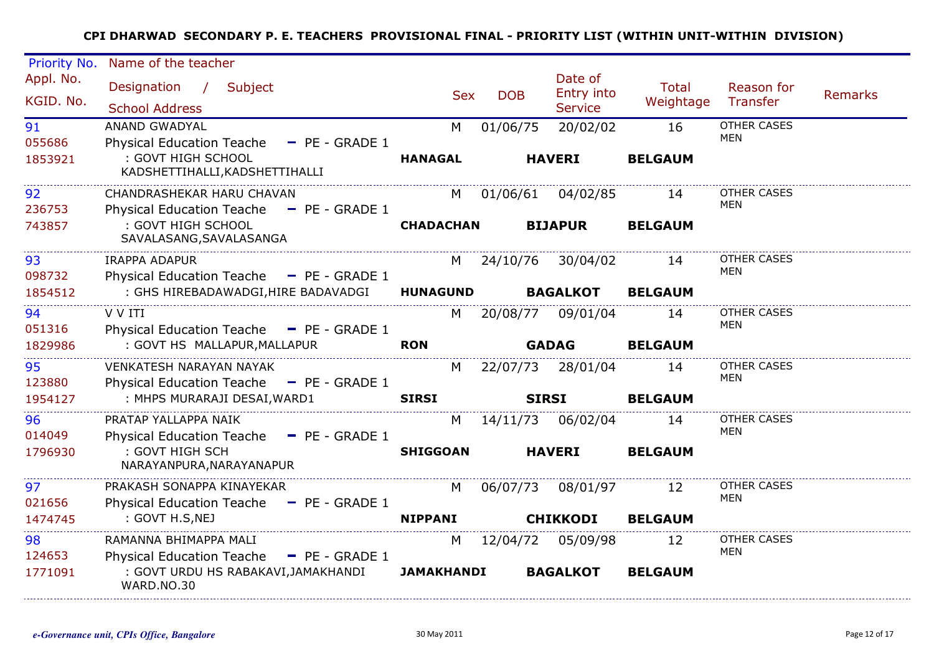| Priority No.           | Name of the teacher                                                                    |                   |            |                                         |                    |                           |                |
|------------------------|----------------------------------------------------------------------------------------|-------------------|------------|-----------------------------------------|--------------------|---------------------------|----------------|
| Appl. No.<br>KGID. No. | Designation /<br>Subject<br><b>School Address</b>                                      | <b>Sex</b>        | <b>DOB</b> | Date of<br>Entry into<br><b>Service</b> | Total<br>Weightage | Reason for<br>Transfer    | <b>Remarks</b> |
| 91                     | <b>ANAND GWADYAL</b>                                                                   | M                 | 01/06/75   | 20/02/02                                | 16                 | <b>OTHER CASES</b>        |                |
| 055686<br>1853921      | <b>Physical Education Teache</b><br>$-$ PE - GRADE 1<br>: GOVT HIGH SCHOOL             | <b>HANAGAL</b>    |            | <b>HAVERI</b>                           | <b>BELGAUM</b>     | MEN                       |                |
|                        | KADSHETTIHALLI, KADSHETTIHALLI                                                         |                   |            |                                         |                    |                           |                |
| 92<br>236753           | CHANDRASHEKAR HARU CHAVAN<br><b>Physical Education Teache</b><br>$-$ PE - GRADE 1      | M                 | 01/06/61   | 04/02/85                                | 14                 | <b>OTHER CASES</b><br>MEN |                |
| 743857                 | : GOVT HIGH SCHOOL<br>SAVALASANG, SAVALASANGA                                          | <b>CHADACHAN</b>  |            | <b>BIJAPUR</b>                          | <b>BELGAUM</b>     |                           |                |
| 93<br>098732           | <b>IRAPPA ADAPUR</b><br>Physical Education Teache - PE - GRADE 1                       | M                 | 24/10/76   | 30/04/02                                | 14                 | <b>OTHER CASES</b><br>MEN |                |
| 1854512                | : GHS HIREBADAWADGI, HIRE BADAVADGI                                                    | <b>HUNAGUND</b>   |            | <b>BAGALKOT</b>                         | <b>BELGAUM</b>     |                           |                |
| 94<br>051316           | V V ITI<br>Physical Education Teache - PE - GRADE 1                                    | M                 |            | 20/08/77 09/01/04                       | 14                 | OTHER CASES<br>MEN        |                |
| 1829986                | : GOVT HS MALLAPUR, MALLAPUR                                                           | <b>RON</b>        |            | <b>GADAG</b>                            | <b>BELGAUM</b>     |                           |                |
| 95<br>123880           | <b>VENKATESH NARAYAN NAYAK</b><br><b>Physical Education Teache</b><br>$-$ PE - GRADE 1 | M                 |            | 22/07/73 28/01/04                       | 14                 | <b>OTHER CASES</b><br>MEN |                |
| 1954127                | : MHPS MURARAJI DESAI, WARD1                                                           | <b>SIRSI</b>      |            | <b>SIRSI</b>                            | <b>BELGAUM</b>     |                           |                |
| 96<br>014049           | PRATAP YALLAPPA NAIK<br>Physical Education Teache - PE - GRADE 1                       | M                 |            | 14/11/73 06/02/04                       | 14                 | OTHER CASES<br>MEN        |                |
| 1796930                | : GOVT HIGH SCH<br>NARAYANPURA, NARAYANAPUR                                            | <b>SHIGGOAN</b>   |            | <b>HAVERI</b>                           | <b>BELGAUM</b>     |                           |                |
| 97<br>021656           | PRAKASH SONAPPA KINAYEKAR<br>Physical Education Teache - PE - GRADE 1                  | M                 | 06/07/73   | 08/01/97                                | 12                 | OTHER CASES<br><b>MEN</b> |                |
| 1474745                | : GOVT H.S, NEJ                                                                        | <b>NIPPANI</b>    |            | <b>CHIKKODI</b>                         | <b>BELGAUM</b>     |                           |                |
| 98<br>124653           | RAMANNA BHIMAPPA MALI<br><b>Physical Education Teache</b><br>$-$ PE - GRADE 1          | M                 |            | 12/04/72 05/09/98                       | 12                 | <b>OTHER CASES</b><br>MEN |                |
| 1771091                | : GOVT URDU HS RABAKAVI, JAMAKHANDI<br>WARD.NO.30                                      | <b>JAMAKHANDI</b> |            | <b>BAGALKOT</b>                         | <b>BELGAUM</b>     |                           |                |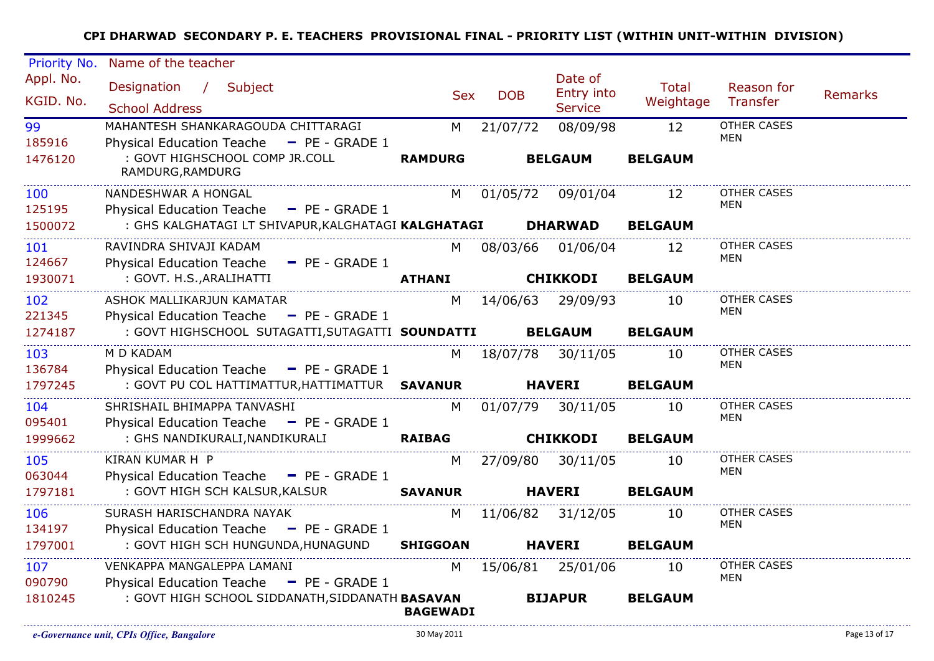| Priority No. | Name of the teacher                                         |                                                                                                                                                                                                                                |            |                              |                |                                  |                |
|--------------|-------------------------------------------------------------|--------------------------------------------------------------------------------------------------------------------------------------------------------------------------------------------------------------------------------|------------|------------------------------|----------------|----------------------------------|----------------|
| Appl. No.    | Designation / Subject                                       |                                                                                                                                                                                                                                |            | Date of                      | <b>Total</b>   | Reason for                       |                |
| KGID. No.    | <b>School Address</b>                                       | <b>Sex</b>                                                                                                                                                                                                                     | <b>DOB</b> | Entry into<br><b>Service</b> | Weightage      | Transfer                         | <b>Remarks</b> |
| 99           | MAHANTESH SHANKARAGOUDA CHITTARAGI                          | M                                                                                                                                                                                                                              | 21/07/72   | 08/09/98                     | 12             | <b>OTHER CASES</b>               |                |
| 185916       | Physical Education Teache - PE - GRADE 1                    |                                                                                                                                                                                                                                |            |                              |                | MEN                              |                |
| 1476120      | : GOVT HIGHSCHOOL COMP JR.COLL<br>RAMDURG, RAMDURG          | <b>RAMDURG</b>                                                                                                                                                                                                                 |            | <b>BELGAUM</b>               | <b>BELGAUM</b> |                                  |                |
| 100          | NANDESHWAR A HONGAL                                         |                                                                                                                                                                                                                                |            | M 01/05/72 09/01/04          | 12             | <b>OTHER CASES</b>               |                |
| 125195       | Physical Education Teache - PE - GRADE 1                    |                                                                                                                                                                                                                                |            |                              |                | <b>MEN</b>                       |                |
| 1500072      | : GHS KALGHATAGI LT SHIVAPUR, KALGHATAGI KALGHATAGI DHARWAD |                                                                                                                                                                                                                                |            |                              | <b>BELGAUM</b> |                                  |                |
| 101          | RAVINDRA SHIVAJI KADAM                                      |                                                                                                                                                                                                                                |            | M 08/03/66 01/06/04          | 12             | OTHER CASES                      |                |
| 124667       | Physical Education Teache - PE - GRADE 1                    |                                                                                                                                                                                                                                |            |                              |                | MEN                              |                |
| 1930071      | : GOVT. H.S., ARALIHATTI                                    | <b>ATHANI</b>                                                                                                                                                                                                                  |            | <b>CHIKKODI</b>              | <b>BELGAUM</b> |                                  |                |
| 102          | ASHOK MALLIKARJUN KAMATAR                                   | M and the set of the set of the set of the set of the set of the set of the set of the set of the set of the set of the set of the set of the set of the set of the set of the set of the set of the set of the set of the set |            | 14/06/63 29/09/93            | 10             | OTHER CASES<br>MEN               |                |
| 221345       | Physical Education Teache - PE - GRADE 1                    |                                                                                                                                                                                                                                |            |                              |                |                                  |                |
| 1274187      | : GOVT HIGHSCHOOL SUTAGATTI, SUTAGATTI SOUNDATTI            |                                                                                                                                                                                                                                |            | <b>BELGAUM</b>               | <b>BELGAUM</b> |                                  |                |
| 103          | M D KADAM                                                   |                                                                                                                                                                                                                                |            | M 18/07/78 30/11/05          | 10             | <b>OTHER CASES</b><br><b>MEN</b> |                |
| 136784       | Physical Education Teache - PE - GRADE 1                    |                                                                                                                                                                                                                                |            |                              |                |                                  |                |
| 1797245      | : GOVT PU COL HATTIMATTUR, HATTIMATTUR SAVANUR HAVERI       |                                                                                                                                                                                                                                |            |                              | <b>BELGAUM</b> |                                  |                |
| 104          | SHRISHAIL BHIMAPPA TANVASHI                                 | M                                                                                                                                                                                                                              |            | 01/07/79 30/11/05            | 10             | OTHER CASES<br>MEN               |                |
| 095401       | Physical Education Teache - PE - GRADE 1                    |                                                                                                                                                                                                                                |            |                              |                |                                  |                |
| 1999662      | : GHS NANDIKURALI, NANDIKURALI                              | <b>RAIBAG</b>                                                                                                                                                                                                                  |            | <b>CHIKKODI</b>              | <b>BELGAUM</b> |                                  |                |
| 105          | KIRAN KUMAR H P                                             |                                                                                                                                                                                                                                | M 27/09/80 | 30/11/05                     | 10             | OTHER CASES<br>MEN               |                |
| 063044       | Physical Education Teache - PE - GRADE 1                    |                                                                                                                                                                                                                                |            |                              |                |                                  |                |
| 1797181      | : GOVT HIGH SCH KALSUR, KALSUR                              | <b>SAVANUR</b>                                                                                                                                                                                                                 |            | <b>HAVERI</b>                | <b>BELGAUM</b> |                                  |                |
| 106          | SURASH HARISCHANDRA NAYAK                                   | M                                                                                                                                                                                                                              |            | 11/06/82 31/12/05            | 10             | OTHER CASES<br>MEN               |                |
| 134197       | Physical Education Teache - PE - GRADE 1                    |                                                                                                                                                                                                                                |            |                              |                |                                  |                |
| 1797001      | : GOVT HIGH SCH HUNGUNDA, HUNAGUND                          | <b>SHIGGOAN</b>                                                                                                                                                                                                                |            | <b>HAVERI</b>                | <b>BELGAUM</b> |                                  |                |
| 107          | VENKAPPA MANGALEPPA LAMANI                                  | M and the set of the set of the set of the set of the set of the set of the set of the set of the set of the set of the set of the set of the set of the set of the set of the set of the set of the set of the set of the set |            | 15/06/81 25/01/06            | 10             | OTHER CASES<br><b>MEN</b>        |                |
| 090790       | Physical Education Teache - PE - GRADE 1                    |                                                                                                                                                                                                                                |            |                              |                |                                  |                |
| 1810245      | : GOVT HIGH SCHOOL SIDDANATH, SIDDANATH BASAVAN             | <b>BAGEWADI</b>                                                                                                                                                                                                                |            | <b>BIJAPUR</b>               | <b>BELGAUM</b> |                                  |                |
|              |                                                             |                                                                                                                                                                                                                                |            |                              |                |                                  |                |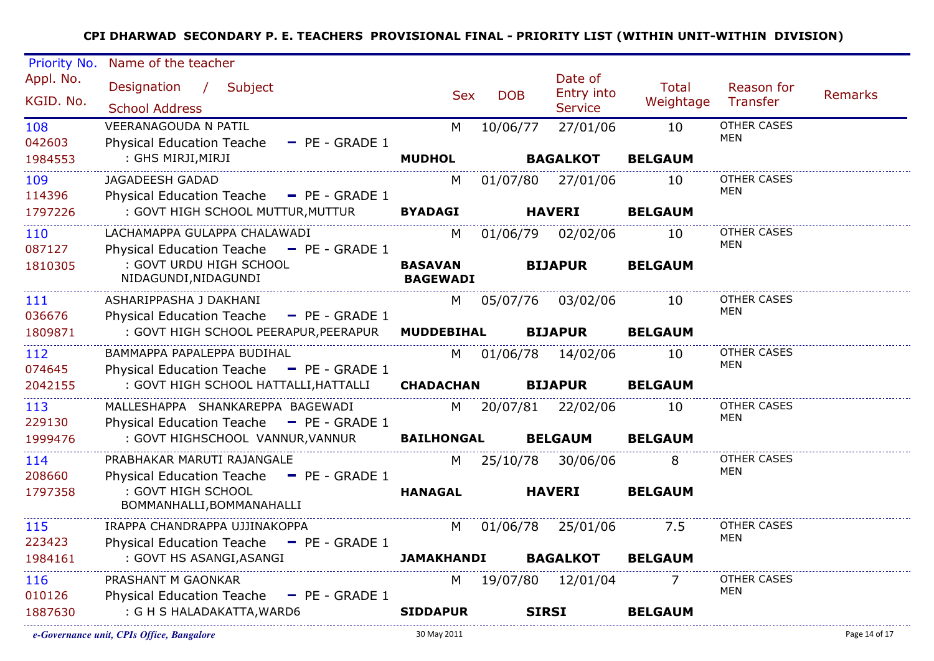| Priority No.           | Name of the teacher                                                           |                   |                                   |                                         |                    |                                  |                |
|------------------------|-------------------------------------------------------------------------------|-------------------|-----------------------------------|-----------------------------------------|--------------------|----------------------------------|----------------|
| Appl. No.<br>KGID. No. | Designation / Subject<br><b>School Address</b>                                | <b>Sex</b>        | <b>DOB</b>                        | Date of<br>Entry into<br><b>Service</b> | Total<br>Weightage | Reason for<br>Transfer           | <b>Remarks</b> |
| 108<br>042603          | <b>VEERANAGOUDA N PATIL</b><br>Physical Education Teache - PE - GRADE 1       | M                 | 10/06/77                          | 27/01/06                                | 10                 | <b>OTHER CASES</b><br>MEN        |                |
| 1984553                | : GHS MIRJI, MIRJI                                                            | <b>MUDHOL</b>     |                                   | <b>BAGALKOT</b>                         | <b>BELGAUM</b>     |                                  |                |
| 109                    | <b>JAGADEESH GADAD</b>                                                        | M                 |                                   | 01/07/80 27/01/06                       | 10                 | <b>OTHER CASES</b><br>MEN        |                |
| 114396<br>1797226      | Physical Education Teache - PE - GRADE 1<br>: GOVT HIGH SCHOOL MUTTUR, MUTTUR | <b>BYADAGI</b>    |                                   | <b>HAVERI</b>                           | <b>BELGAUM</b>     |                                  |                |
| 110<br>087127          | LACHAMAPPA GULAPPA CHALAWADI<br>Physical Education Teache - PE - GRADE 1      | M <sub>N</sub>    |                                   | 01/06/79 02/02/06                       | 10                 | OTHER CASES<br>MEN               |                |
| 1810305                | : GOVT URDU HIGH SCHOOL<br>NIDAGUNDI, NIDAGUNDI                               | <b>BASAVAN</b>    | <b>BIJAPUR</b><br><b>BAGEWADI</b> |                                         | <b>BELGAUM</b>     |                                  |                |
| 111<br>036676          | ASHARIPPASHA J DAKHANI<br>Physical Education Teache - PE - GRADE 1            |                   |                                   | M 05/07/76 03/02/06                     | 10                 | <b>OTHER CASES</b><br>MEN        |                |
| 1809871                | : GOVT HIGH SCHOOL PEERAPUR, PEERAPUR                                         | <b>MUDDEBIHAL</b> |                                   | <b>BIJAPUR</b>                          | <b>BELGAUM</b>     |                                  |                |
| 112<br>074645          | BAMMAPPA PAPALEPPA BUDIHAL<br>Physical Education Teache - PE - GRADE 1        |                   |                                   | M 01/06/78 14/02/06                     | 10                 | OTHER CASES<br>MEN               |                |
| 2042155                | : GOVT HIGH SCHOOL HATTALLI, HATTALLI                                         | <b>CHADACHAN</b>  |                                   | <b>BIJAPUR</b>                          | <b>BELGAUM</b>     |                                  |                |
| 113<br>229130          | MALLESHAPPA SHANKAREPPA BAGEWADI<br>Physical Education Teache - PE - GRADE 1  |                   |                                   | M 20/07/81 22/02/06                     | 10                 | <b>OTHER CASES</b><br><b>MEN</b> |                |
| 1999476                | : GOVT HIGHSCHOOL VANNUR, VANNUR                                              | <b>BAILHONGAL</b> |                                   | <b>BELGAUM</b>                          | <b>BELGAUM</b>     |                                  |                |
| 114<br>208660          | PRABHAKAR MARUTI RAJANGALE<br>Physical Education Teache - PE - GRADE 1        |                   |                                   | M 25/10/78 30/06/06                     | 8                  | <b>OTHER CASES</b><br><b>MEN</b> |                |
| 1797358                | : GOVT HIGH SCHOOL<br>BOMMANHALLI, BOMMANAHALLI                               | <b>HANAGAL</b>    |                                   | <b>HAVERI</b>                           | <b>BELGAUM</b>     |                                  |                |
| 115                    | IRAPPA CHANDRAPPA UJJINAKOPPA                                                 | M                 |                                   | 01/06/78 25/01/06                       | 7.5                | OTHER CASES<br><b>MEN</b>        |                |
| 223423<br>1984161      | Physical Education Teache - PE - GRADE 1<br>: GOVT HS ASANGI, ASANGI          | <b>JAMAKHANDI</b> |                                   | <b>BAGALKOT</b>                         | <b>BELGAUM</b>     |                                  |                |
| 116<br>010126          | PRASHANT M GAONKAR<br>Physical Education Teache - PE - GRADE 1                |                   |                                   | M 19/07/80 12/01/04                     | 7                  | OTHER CASES<br><b>MEN</b>        |                |
| 1887630                | : G H S HALADAKATTA, WARD6                                                    | <b>SIDDAPUR</b>   |                                   | <b>SIRSI</b>                            | <b>BELGAUM</b>     |                                  |                |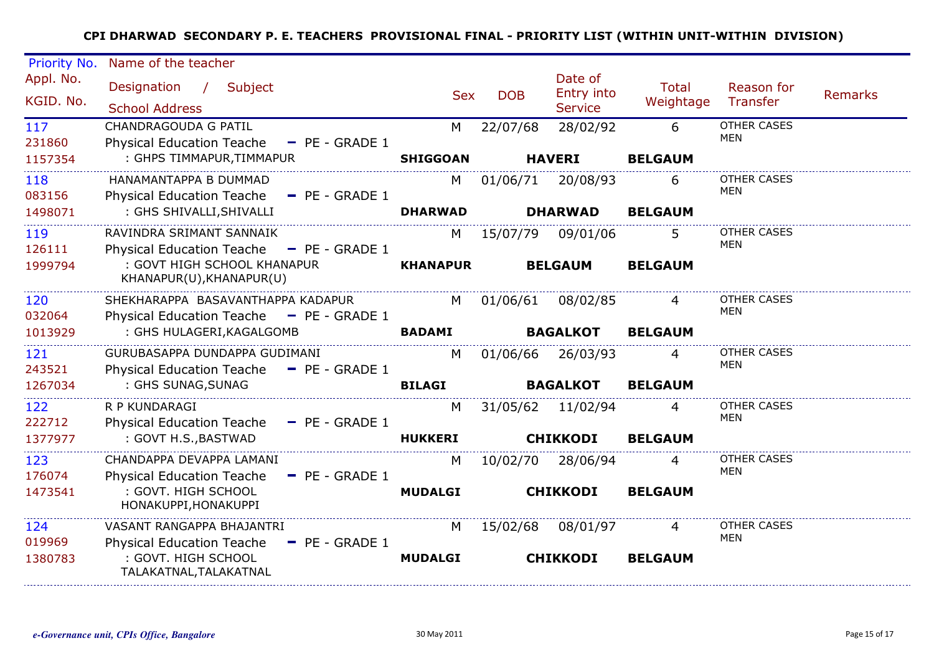| Priority No.           | Name of the teacher                                                                 |                 |            |                                                |                    |                                  |                |
|------------------------|-------------------------------------------------------------------------------------|-----------------|------------|------------------------------------------------|--------------------|----------------------------------|----------------|
| Appl. No.<br>KGID. No. | Designation / Subject<br><b>School Address</b>                                      | <b>Sex</b>      | <b>DOB</b> | Date of<br><b>Entry into</b><br><b>Service</b> | Total<br>Weightage | Reason for<br><b>Transfer</b>    | <b>Remarks</b> |
| 117<br>231860          | <b>CHANDRAGOUDA G PATIL</b><br><b>Physical Education Teache</b><br>$-$ PE - GRADE 1 | м               | 22/07/68   | 28/02/92                                       | 6                  | <b>OTHER CASES</b><br>MEN        |                |
| 1157354                | : GHPS TIMMAPUR, TIMMAPUR                                                           | <b>SHIGGOAN</b> |            | <b>HAVERI</b>                                  | <b>BELGAUM</b>     |                                  |                |
| 118<br>083156          | HANAMANTAPPA B DUMMAD<br>Physical Education Teache - PE - GRADE 1                   | M               | 01/06/71   | 20/08/93                                       | 6                  | <b>OTHER CASES</b><br><b>MEN</b> |                |
| 1498071                | : GHS SHIVALLI, SHIVALLI                                                            | <b>DHARWAD</b>  |            | <b>DHARWAD</b>                                 | <b>BELGAUM</b>     |                                  |                |
| 119<br>126111          | RAVINDRA SRIMANT SANNAIK<br>Physical Education Teache $\blacksquare$ PE - GRADE 1   | M               | 15/07/79   | 09/01/06                                       | 5.                 | <b>OTHER CASES</b><br><b>MEN</b> |                |
| 1999794                | : GOVT HIGH SCHOOL KHANAPUR<br>KHANAPUR(U), KHANAPUR(U)                             | <b>KHANAPUR</b> |            | <b>BELGAUM</b>                                 | <b>BELGAUM</b>     |                                  |                |
| 120<br>032064          | SHEKHARAPPA BASAVANTHAPPA KADAPUR<br>Physical Education Teache - PE - GRADE 1       | M               | 01/06/61   | 08/02/85                                       |                    | <b>OTHER CASES</b><br><b>MEN</b> |                |
| 1013929                | : GHS HULAGERI, KAGALGOMB                                                           | <b>BADAMI</b>   |            | <b>BAGALKOT</b>                                | <b>BELGAUM</b>     |                                  |                |
| 121<br>243521          | GURUBASAPPA DUNDAPPA GUDIMANI<br>Physical Education Teache - PE - GRADE 1           | M               | 01/06/66   | 26/03/93                                       |                    | <b>OTHER CASES</b><br>MEN        |                |
| 1267034                | : GHS SUNAG, SUNAG                                                                  | <b>BILAGI</b>   |            | <b>BAGALKOT</b>                                | <b>BELGAUM</b>     |                                  |                |
| 122<br>222712          | R P KUNDARAGI<br>Physical Education Teache - PE - GRADE 1                           | M               | 31/05/62   | 11/02/94                                       | 4                  | <b>OTHER CASES</b><br>MEN        |                |
| 1377977                | : GOVT H.S., BASTWAD                                                                | <b>HUKKERI</b>  |            | <b>CHIKKODI</b>                                | <b>BELGAUM</b>     |                                  |                |
| 123<br>176074          | CHANDAPPA DEVAPPA LAMANI<br><b>Physical Education Teache</b><br>$-$ PE - GRADE 1    | M               | 10/02/70   | 28/06/94                                       | 4                  | OTHER CASES<br>MEN               |                |
| 1473541                | : GOVT. HIGH SCHOOL<br>HONAKUPPI, HONAKUPPI                                         | <b>MUDALGI</b>  |            | <b>CHIKKODI</b>                                | <b>BELGAUM</b>     |                                  |                |
| 124<br>019969          | VASANT RANGAPPA BHAJANTRI<br><b>Physical Education Teache</b><br>$-$ PE - GRADE 1   | M               | 15/02/68   | 08/01/97                                       |                    | <b>OTHER CASES</b><br>MEN        |                |
| 1380783                | : GOVT. HIGH SCHOOL<br>TALAKATNAL, TALAKATNAL                                       | <b>MUDALGI</b>  |            | <b>CHIKKODI</b>                                | <b>BELGAUM</b>     |                                  |                |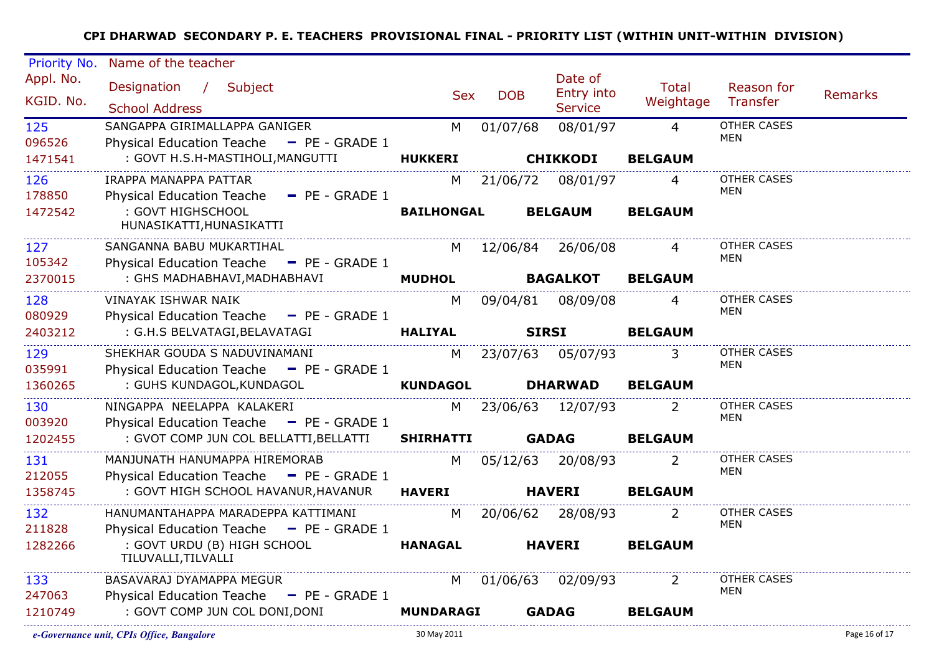| Priority No.           | Name of the teacher                                                                       |                   |            |                       |                             |                           |                |
|------------------------|-------------------------------------------------------------------------------------------|-------------------|------------|-----------------------|-----------------------------|---------------------------|----------------|
| Appl. No.<br>KGID. No. | Designation / Subject                                                                     | <b>Sex</b>        | <b>DOB</b> | Date of<br>Entry into | Total<br>Weightage Transfer | Reason for                | <b>Remarks</b> |
|                        | <b>School Address</b>                                                                     |                   |            | <b>Service</b>        |                             |                           |                |
| 125<br>096526          | SANGAPPA GIRIMALLAPPA GANIGER<br>Physical Education Teache - PE - GRADE 1                 | M                 | 01/07/68   | 08/01/97              | $\overline{4}$              | <b>OTHER CASES</b><br>MEN |                |
| 1471541                | : GOVT H.S.H-MASTIHOLI, MANGUTTI                                                          | <b>HUKKERI</b>    |            | <b>CHIKKODI</b>       | <b>BELGAUM</b>              |                           |                |
| 126                    | IRAPPA MANAPPA PATTAR                                                                     | M                 |            | 21/06/72 08/01/97     | $\overline{4}$              | OTHER CASES<br>MEN        |                |
| 178850<br>1472542<br>. | Physical Education Teache - PE - GRADE 1<br>: GOVT HIGHSCHOOL<br>HUNASIKATTI, HUNASIKATTI | <b>BAILHONGAL</b> |            | <b>BELGAUM</b>        | <b>BELGAUM</b>              |                           |                |
| 127<br>105342          | SANGANNA BABU MUKARTIHAL<br>Physical Education Teache - PE - GRADE 1                      |                   |            | M 12/06/84 26/06/08   | $\overline{4}$              | <b>OTHER CASES</b><br>MEN |                |
| 2370015                | : GHS MADHABHAVI, MADHABHAVI<br>0HABHAVI,MADHABHAVI MUDHOL BAGALKOT                       |                   |            |                       | <b>BELGAUM</b>              |                           |                |
| 128<br>080929          | VINAYAK ISHWAR NAIK<br>Physical Education Teache - PE - GRADE 1                           |                   |            | M 09/04/81 08/09/08   | $\overline{4}$              | OTHER CASES<br>MEN        |                |
| 2403212                | : G.H.S BELVATAGI,BELAVATAGI                                                              | <b>HALIYAL</b>    |            | <b>SIRSI</b>          | <b>BELGAUM</b>              |                           |                |
| 129<br>035991          | SHEKHAR GOUDA S NADUVINAMANI<br>Physical Education Teache - PE - GRADE 1                  |                   |            | M 23/07/63 05/07/93   | 3                           | OTHER CASES<br>MEN        |                |
| 1360265                | : GUHS KUNDAGOL, KUNDAGOL                                                                 |                   |            | <b>DHARWAD</b>        | <b>BELGAUM</b>              |                           |                |
| 130<br>003920          | NINGAPPA NEELAPPA KALAKERI<br>Physical Education Teache - PE - GRADE 1                    | M <sub>N</sub>    |            | 23/06/63 12/07/93     | 2                           | OTHER CASES<br>MEN        |                |
| 1202455                | : GVOT COMP JUN COL BELLATTI, BELLATTI SHIRHATTI                                          |                   |            | <b>GADAG</b>          | <b>BELGAUM</b>              |                           |                |
| 131<br>212055          | MANJUNATH HANUMAPPA HIREMORAB<br>Physical Education Teache - PE - GRADE 1                 |                   |            | M 05/12/63 20/08/93   |                             | OTHER CASES<br><b>MEN</b> |                |
| 1358745                | : GOVT HIGH SCHOOL HAVANUR, HAVANUR HAVERI                                                |                   |            | <b>HAVERI</b>         | <b>BELGAUM</b>              |                           |                |
| 132<br>211828          | HANUMANTAHAPPA MARADEPPA KATTIMANI<br>Physical Education Teache - PE - GRADE 1            | M                 |            | 20/06/62 28/08/93     | <sup>2</sup>                | OTHER CASES<br>MEN        |                |
| 1282266                | : GOVT URDU (B) HIGH SCHOOL<br>TILUVALLI, TILVALLI                                        | <b>HANAGAL</b>    |            | <b>HAVERI</b>         | <b>BELGAUM</b>              |                           |                |
| 133<br>247063          | BASAVARAJ DYAMAPPA MEGUR<br>Physical Education Teache - PE - GRADE 1                      | M <sub>1</sub>    |            | 01/06/63 02/09/93     | $\overline{2}$              | OTHER CASES<br>MEN        |                |
| 1210749                | : GOVT COMP JUN COL DONI, DONI                                                            | <b>MUNDARAGI</b>  |            | <b>GADAG</b>          | <b>BELGAUM</b>              |                           |                |
|                        |                                                                                           |                   |            |                       |                             |                           |                |